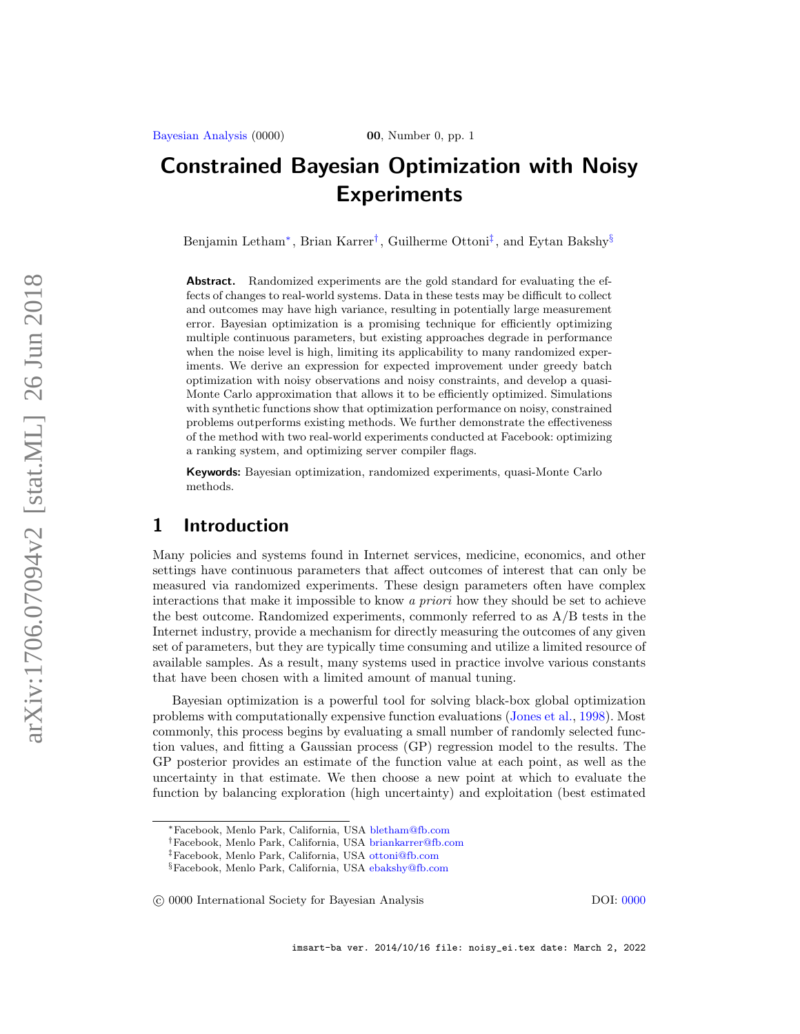# <span id="page-0-4"></span>Constrained Bayesian Optimization with Noisy **Experiments**

Benjamin Letham<sup>[∗](#page-0-0)</sup>, Brian Karrer<sup>[†](#page-0-1)</sup>, Guilherme Ottoni<sup>[‡](#page-0-2)</sup>, and Eytan Bakshy<sup>[§](#page-0-3)</sup>

Abstract. Randomized experiments are the gold standard for evaluating the effects of changes to real-world systems. Data in these tests may be difficult to collect and outcomes may have high variance, resulting in potentially large measurement error. Bayesian optimization is a promising technique for efficiently optimizing multiple continuous parameters, but existing approaches degrade in performance when the noise level is high, limiting its applicability to many randomized experiments. We derive an expression for expected improvement under greedy batch optimization with noisy observations and noisy constraints, and develop a quasi-Monte Carlo approximation that allows it to be efficiently optimized. Simulations with synthetic functions show that optimization performance on noisy, constrained problems outperforms existing methods. We further demonstrate the effectiveness of the method with two real-world experiments conducted at Facebook: optimizing a ranking system, and optimizing server compiler flags.

Keywords: Bayesian optimization, randomized experiments, quasi-Monte Carlo methods.

## 1 Introduction

Many policies and systems found in Internet services, medicine, economics, and other settings have continuous parameters that affect outcomes of interest that can only be measured via randomized experiments. These design parameters often have complex interactions that make it impossible to know a priori how they should be set to achieve the best outcome. Randomized experiments, commonly referred to as  $A/B$  tests in the Internet industry, provide a mechanism for directly measuring the outcomes of any given set of parameters, but they are typically time consuming and utilize a limited resource of available samples. As a result, many systems used in practice involve various constants that have been chosen with a limited amount of manual tuning.

Bayesian optimization is a powerful tool for solving black-box global optimization problems with computationally expensive function evaluations [\(Jones et al.,](#page-21-0) [1998\)](#page-21-0). Most commonly, this process begins by evaluating a small number of randomly selected function values, and fitting a Gaussian process (GP) regression model to the results. The GP posterior provides an estimate of the function value at each point, as well as the uncertainty in that estimate. We then choose a new point at which to evaluate the function by balancing exploration (high uncertainty) and exploitation (best estimated

<span id="page-0-0"></span><sup>∗</sup>Facebook, Menlo Park, California, USA [bletham@fb.com](mailto:bletham@fb.com)

<span id="page-0-1"></span><sup>†</sup>Facebook, Menlo Park, California, USA [briankarrer@fb.com](mailto:briankarrer@fb.com)

<span id="page-0-2"></span><sup>‡</sup>Facebook, Menlo Park, California, USA [ottoni@fb.com](mailto:ottoni@fb.com)

<span id="page-0-3"></span><sup>§</sup>Facebook, Menlo Park, California, USA [ebakshy@fb.com](mailto:ebakshy@fb.com)

c 0000 International Society for Bayesian Analysis DOI: [0000](http://dx.doi.org/0000)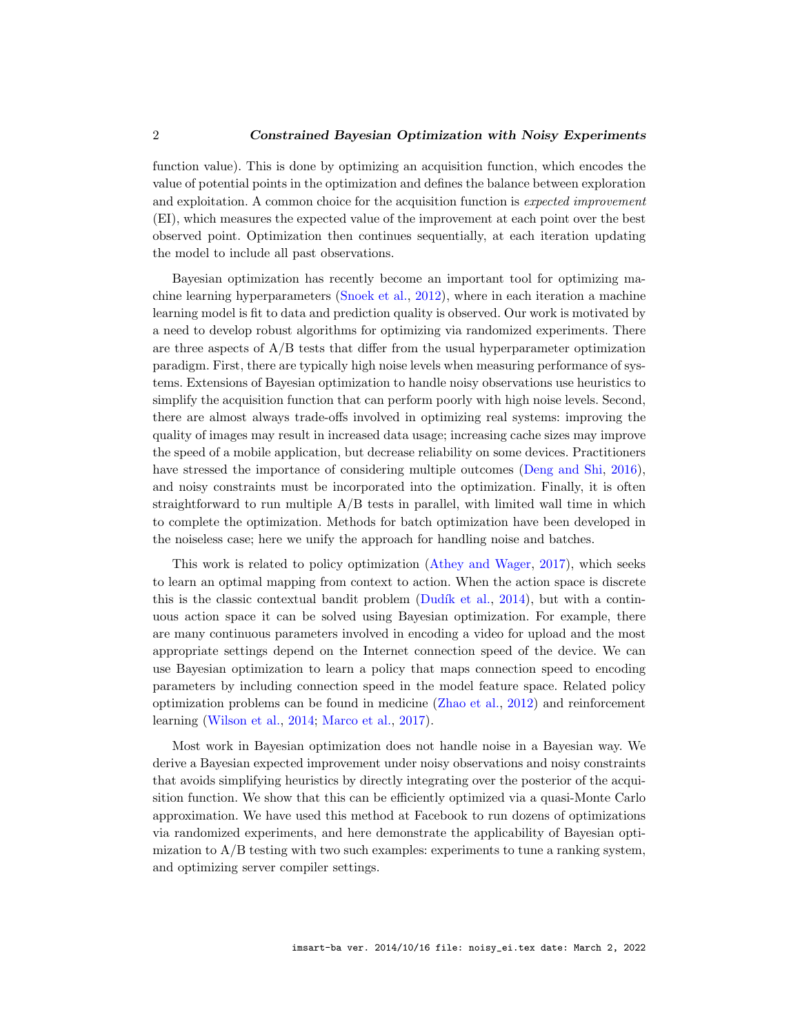#### <span id="page-1-0"></span>2 Constrained Bayesian Optimization with Noisy Experiments

function value). This is done by optimizing an acquisition function, which encodes the value of potential points in the optimization and defines the balance between exploration and exploitation. A common choice for the acquisition function is expected improvement (EI), which measures the expected value of the improvement at each point over the best observed point. Optimization then continues sequentially, at each iteration updating the model to include all past observations.

Bayesian optimization has recently become an important tool for optimizing machine learning hyperparameters [\(Snoek et al.,](#page-23-0) [2012\)](#page-23-0), where in each iteration a machine learning model is fit to data and prediction quality is observed. Our work is motivated by a need to develop robust algorithms for optimizing via randomized experiments. There are three aspects of A/B tests that differ from the usual hyperparameter optimization paradigm. First, there are typically high noise levels when measuring performance of systems. Extensions of Bayesian optimization to handle noisy observations use heuristics to simplify the acquisition function that can perform poorly with high noise levels. Second, there are almost always trade-offs involved in optimizing real systems: improving the quality of images may result in increased data usage; increasing cache sizes may improve the speed of a mobile application, but decrease reliability on some devices. Practitioners have stressed the importance of considering multiple outcomes [\(Deng and Shi,](#page-20-0) [2016\)](#page-20-0), and noisy constraints must be incorporated into the optimization. Finally, it is often straightforward to run multiple  $A/B$  tests in parallel, with limited wall time in which to complete the optimization. Methods for batch optimization have been developed in the noiseless case; here we unify the approach for handling noise and batches.

This work is related to policy optimization [\(Athey and Wager,](#page-20-1) [2017\)](#page-20-1), which seeks to learn an optimal mapping from context to action. When the action space is discrete this is the classic contextual bandit problem (Dudík et al.,  $2014$ ), but with a continuous action space it can be solved using Bayesian optimization. For example, there are many continuous parameters involved in encoding a video for upload and the most appropriate settings depend on the Internet connection speed of the device. We can use Bayesian optimization to learn a policy that maps connection speed to encoding parameters by including connection speed in the model feature space. Related policy optimization problems can be found in medicine [\(Zhao et al.,](#page-23-1) [2012\)](#page-23-1) and reinforcement learning [\(Wilson et al.,](#page-23-2) [2014;](#page-23-2) [Marco et al.,](#page-22-0) [2017\)](#page-22-0).

Most work in Bayesian optimization does not handle noise in a Bayesian way. We derive a Bayesian expected improvement under noisy observations and noisy constraints that avoids simplifying heuristics by directly integrating over the posterior of the acquisition function. We show that this can be efficiently optimized via a quasi-Monte Carlo approximation. We have used this method at Facebook to run dozens of optimizations via randomized experiments, and here demonstrate the applicability of Bayesian optimization to A/B testing with two such examples: experiments to tune a ranking system, and optimizing server compiler settings.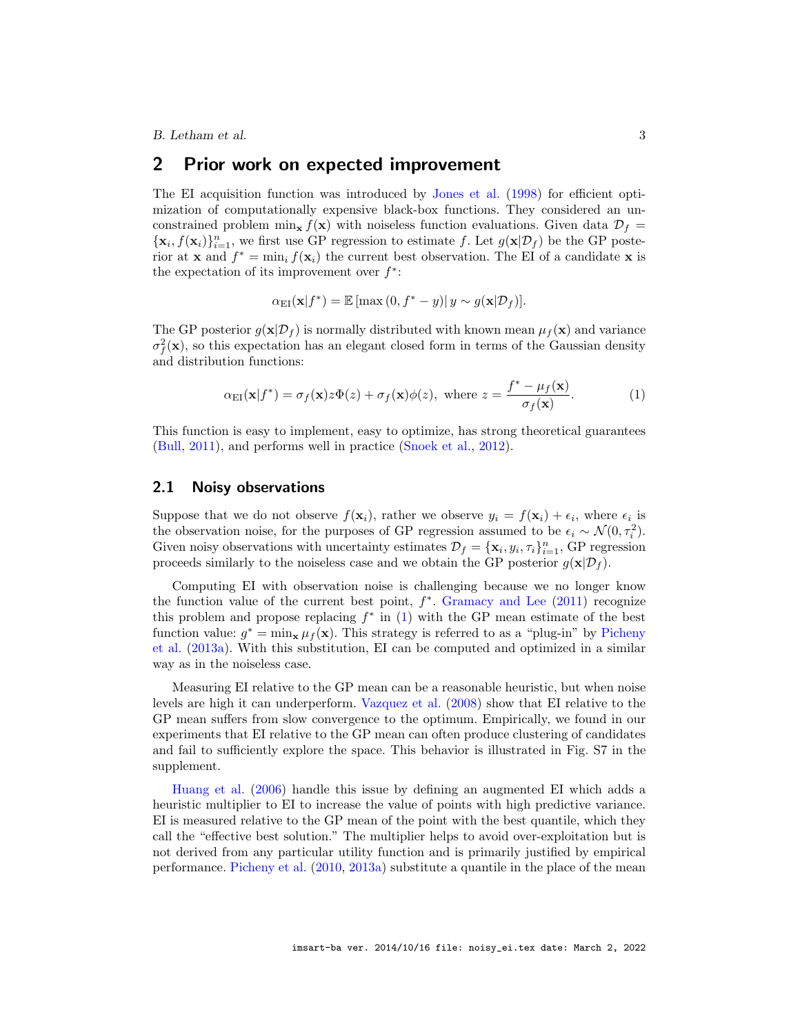## <span id="page-2-3"></span><span id="page-2-2"></span>2 Prior work on expected improvement

The EI acquisition function was introduced by [Jones et al.](#page-21-0) [\(1998\)](#page-21-0) for efficient optimization of computationally expensive black-box functions. They considered an unconstrained problem  $\min_{\mathbf{x}} f(\mathbf{x})$  with noiseless function evaluations. Given data  $\mathcal{D}_f$  $\{\mathbf x_i, f(\mathbf x_i)\}_{i=1}^n$ , we first use GP regression to estimate f. Let  $g(\mathbf x | \mathcal{D}_f)$  be the GP posterior at **x** and  $f^* = \min_i f(\mathbf{x}_i)$  the current best observation. The EI of a candidate **x** is the expectation of its improvement over  $f^*$ :

<span id="page-2-0"></span>
$$
\alpha_{\text{EI}}(\mathbf{x}|f^*) = \mathbb{E} \left[ \max(0, f^* - y) \middle| y \sim g(\mathbf{x}|\mathcal{D}_f) \right].
$$

The GP posterior  $g(\mathbf{x}|\mathcal{D}_f)$  is normally distributed with known mean  $\mu_f(\mathbf{x})$  and variance  $\sigma_f^2(\mathbf{x})$ , so this expectation has an elegant closed form in terms of the Gaussian density and distribution functions:

$$
\alpha_{EI}(\mathbf{x}|f^*) = \sigma_f(\mathbf{x})z\Phi(z) + \sigma_f(\mathbf{x})\phi(z), \text{ where } z = \frac{f^* - \mu_f(\mathbf{x})}{\sigma_f(\mathbf{x})}.
$$
 (1)

This function is easy to implement, easy to optimize, has strong theoretical guarantees [\(Bull,](#page-20-3) [2011\)](#page-20-3), and performs well in practice [\(Snoek et al.,](#page-23-0) [2012\)](#page-23-0).

### <span id="page-2-1"></span>2.1 Noisy observations

Suppose that we do not observe  $f(\mathbf{x}_i)$ , rather we observe  $y_i = f(\mathbf{x}_i) + \epsilon_i$ , where  $\epsilon_i$  is the observation noise, for the purposes of GP regression assumed to be  $\epsilon_i \sim \mathcal{N}(0, \tau_i^2)$ . Given noisy observations with uncertainty estimates  $\mathcal{D}_f = {\mathbf{x}_i, y_i, \tau_i}_{i=1}^n$ , GP regression proceeds similarly to the noiseless case and we obtain the GP posterior  $g(\mathbf{x}|\mathcal{D}_f)$ .

Computing EI with observation noise is challenging because we no longer know the function value of the current best point,  $f^*$ . [Gramacy and Lee](#page-21-1) [\(2011\)](#page-21-1) recognize this problem and propose replacing  $f^*$  in [\(1\)](#page-2-0) with the GP mean estimate of the best function value:  $g^* = \min_{\mathbf{x}} \mu_f(\mathbf{x})$ . This strategy is referred to as a "plug-in" by [Picheny](#page-22-1) [et al.](#page-22-1) [\(2013a\)](#page-22-1). With this substitution, EI can be computed and optimized in a similar way as in the noiseless case.

Measuring EI relative to the GP mean can be a reasonable heuristic, but when noise levels are high it can underperform. [Vazquez et al.](#page-23-3) [\(2008\)](#page-23-3) show that EI relative to the GP mean suffers from slow convergence to the optimum. Empirically, we found in our experiments that EI relative to the GP mean can often produce clustering of candidates and fail to sufficiently explore the space. This behavior is illustrated in Fig. S7 in the supplement.

[Huang et al.](#page-21-2) [\(2006\)](#page-21-2) handle this issue by defining an augmented EI which adds a heuristic multiplier to EI to increase the value of points with high predictive variance. EI is measured relative to the GP mean of the point with the best quantile, which they call the "effective best solution." The multiplier helps to avoid over-exploitation but is not derived from any particular utility function and is primarily justified by empirical performance. [Picheny et al.](#page-22-2) [\(2010,](#page-22-2) [2013a\)](#page-22-1) substitute a quantile in the place of the mean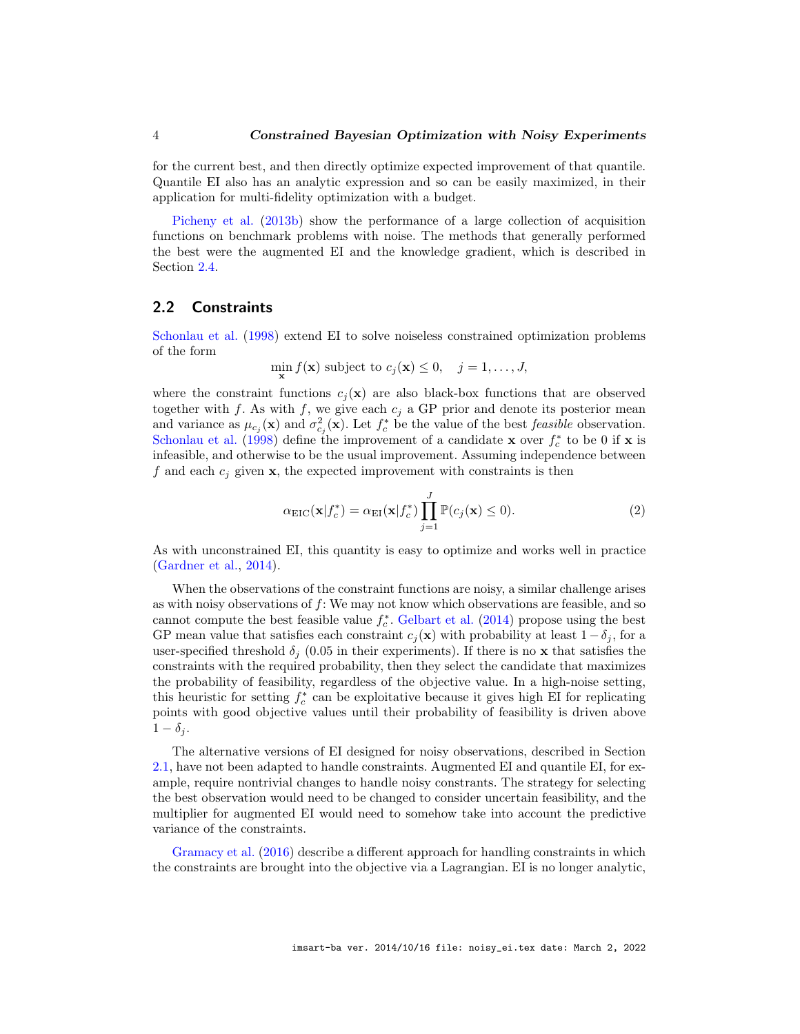<span id="page-3-1"></span>for the current best, and then directly optimize expected improvement of that quantile. Quantile EI also has an analytic expression and so can be easily maximized, in their application for multi-fidelity optimization with a budget.

[Picheny et al.](#page-22-3) [\(2013b\)](#page-22-3) show the performance of a large collection of acquisition functions on benchmark problems with noise. The methods that generally performed the best were the augmented EI and the knowledge gradient, which is described in Section [2.4.](#page-4-0)

## 2.2 Constraints

[Schonlau et al.](#page-22-4) [\(1998\)](#page-22-4) extend EI to solve noiseless constrained optimization problems of the form

$$
\min_{\mathbf{x}} f(\mathbf{x}) \text{ subject to } c_j(\mathbf{x}) \le 0, \quad j = 1, \dots, J,
$$

where the constraint functions  $c_j(\mathbf{x})$  are also black-box functions that are observed together with f. As with f, we give each  $c_j$  a GP prior and denote its posterior mean and variance as  $\mu_{c_j}(\mathbf{x})$  and  $\sigma_{c_j}^2(\mathbf{x})$ . Let  $f_c^*$  be the value of the best *feasible* observation. [Schonlau et al.](#page-22-4) [\(1998\)](#page-22-4) define the improvement of a candidate **x** over  $f_c^*$  to be 0 if **x** is infeasible, and otherwise to be the usual improvement. Assuming independence between f and each  $c_i$  given **x**, the expected improvement with constraints is then

<span id="page-3-0"></span>
$$
\alpha_{\text{EIC}}(\mathbf{x}|f_c^*) = \alpha_{\text{EI}}(\mathbf{x}|f_c^*) \prod_{j=1}^J \mathbb{P}(c_j(\mathbf{x}) \le 0). \tag{2}
$$

As with unconstrained EI, this quantity is easy to optimize and works well in practice [\(Gardner et al.,](#page-20-4) [2014\)](#page-20-4).

When the observations of the constraint functions are noisy, a similar challenge arises as with noisy observations of f: We may not know which observations are feasible, and so cannot compute the best feasible value  $f_c^*$ . [Gelbart et al.](#page-20-5) [\(2014\)](#page-20-5) propose using the best GP mean value that satisfies each constraint  $c_j(\mathbf{x})$  with probability at least  $1 - \delta_j$ , for a user-specified threshold  $\delta_i$  (0.05 in their experiments). If there is no x that satisfies the constraints with the required probability, then they select the candidate that maximizes the probability of feasibility, regardless of the objective value. In a high-noise setting, this heuristic for setting  $f_c^*$  can be exploitative because it gives high EI for replicating points with good objective values until their probability of feasibility is driven above  $1 - \delta_i$ .

The alternative versions of EI designed for noisy observations, described in Section [2.1,](#page-2-1) have not been adapted to handle constraints. Augmented EI and quantile EI, for example, require nontrivial changes to handle noisy constrants. The strategy for selecting the best observation would need to be changed to consider uncertain feasibility, and the multiplier for augmented EI would need to somehow take into account the predictive variance of the constraints.

[Gramacy et al.](#page-21-3) [\(2016\)](#page-21-3) describe a different approach for handling constraints in which the constraints are brought into the objective via a Lagrangian. EI is no longer analytic,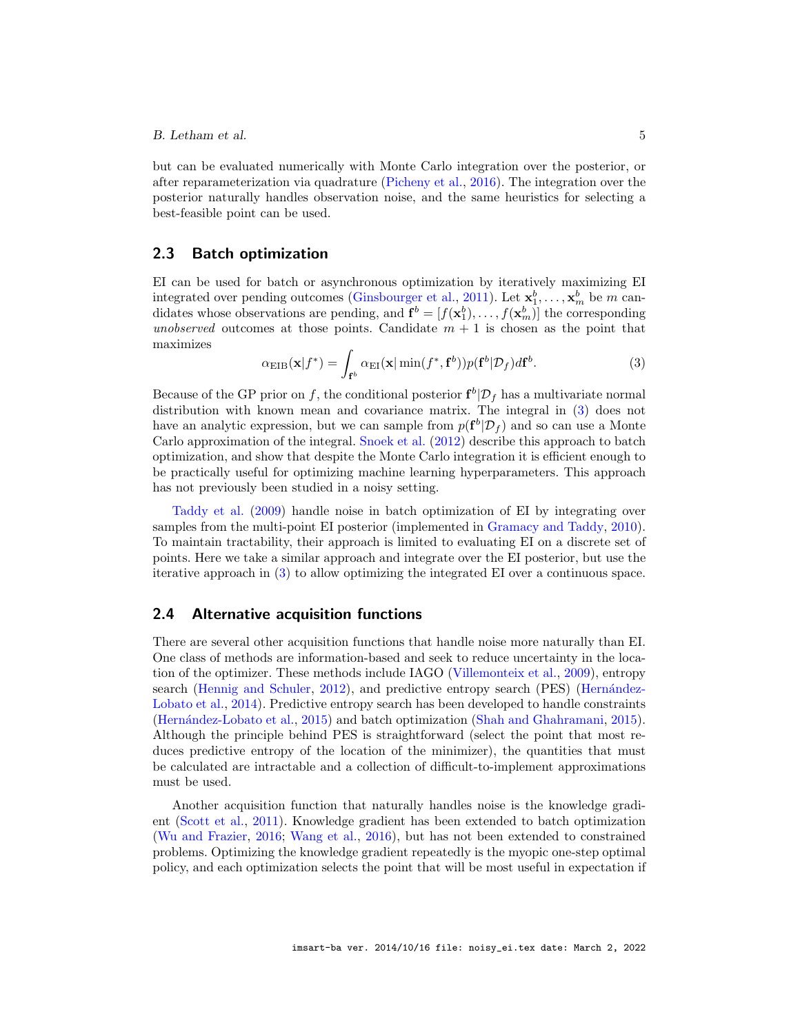<span id="page-4-3"></span>but can be evaluated numerically with Monte Carlo integration over the posterior, or after reparameterization via quadrature [\(Picheny et al.,](#page-22-5) [2016\)](#page-22-5). The integration over the posterior naturally handles observation noise, and the same heuristics for selecting a best-feasible point can be used.

### <span id="page-4-2"></span>2.3 Batch optimization

EI can be used for batch or asynchronous optimization by iteratively maximizing EI integrated over pending outcomes [\(Ginsbourger et al.,](#page-20-6) [2011\)](#page-20-6). Let  $\mathbf{x}_1^b, \ldots, \mathbf{x}_m^b$  be m candidates whose observations are pending, and  $f^b = [f(\mathbf{x}_1^b), \dots, f(\mathbf{x}_m^b)]$  the corresponding unobserved outcomes at those points. Candidate  $m + 1$  is chosen as the point that maximizes

<span id="page-4-1"></span>
$$
\alpha_{\rm EIB}(\mathbf{x}|f^*) = \int_{\mathbf{f}^b} \alpha_{\rm EI}(\mathbf{x}|\min(f^*, \mathbf{f}^b)) p(\mathbf{f}^b | \mathcal{D}_f) d\mathbf{f}^b.
$$
 (3)

Because of the GP prior on f, the conditional posterior  $f^b|D_f$  has a multivariate normal distribution with known mean and covariance matrix. The integral in [\(3\)](#page-4-1) does not have an analytic expression, but we can sample from  $p(\mathbf{f}^b | \mathcal{D}_f)$  and so can use a Monte Carlo approximation of the integral. [Snoek et al.](#page-23-0) [\(2012\)](#page-23-0) describe this approach to batch optimization, and show that despite the Monte Carlo integration it is efficient enough to be practically useful for optimizing machine learning hyperparameters. This approach has not previously been studied in a noisy setting.

[Taddy et al.](#page-23-4) [\(2009\)](#page-23-4) handle noise in batch optimization of EI by integrating over samples from the multi-point EI posterior (implemented in [Gramacy and Taddy,](#page-21-4) [2010\)](#page-21-4). To maintain tractability, their approach is limited to evaluating EI on a discrete set of points. Here we take a similar approach and integrate over the EI posterior, but use the iterative approach in [\(3\)](#page-4-1) to allow optimizing the integrated EI over a continuous space.

### <span id="page-4-0"></span>2.4 Alternative acquisition functions

There are several other acquisition functions that handle noise more naturally than EI. One class of methods are information-based and seek to reduce uncertainty in the location of the optimizer. These methods include IAGO [\(Villemonteix et al.,](#page-23-5) [2009\)](#page-23-5), entropy search [\(Hennig and Schuler,](#page-21-5) [2012\)](#page-21-5), and predictive entropy search (PES) (Hernández-[Lobato et al.,](#page-21-6) [2014\)](#page-21-6). Predictive entropy search has been developed to handle constraints [\(Hern´andez-Lobato et al.,](#page-21-7) [2015\)](#page-21-7) and batch optimization [\(Shah and Ghahramani,](#page-23-6) [2015\)](#page-23-6). Although the principle behind PES is straightforward (select the point that most reduces predictive entropy of the location of the minimizer), the quantities that must be calculated are intractable and a collection of difficult-to-implement approximations must be used.

Another acquisition function that naturally handles noise is the knowledge gradient [\(Scott et al.,](#page-22-6) [2011\)](#page-22-6). Knowledge gradient has been extended to batch optimization [\(Wu and Frazier,](#page-23-7) [2016;](#page-23-7) [Wang et al.,](#page-23-8) [2016\)](#page-23-8), but has not been extended to constrained problems. Optimizing the knowledge gradient repeatedly is the myopic one-step optimal policy, and each optimization selects the point that will be most useful in expectation if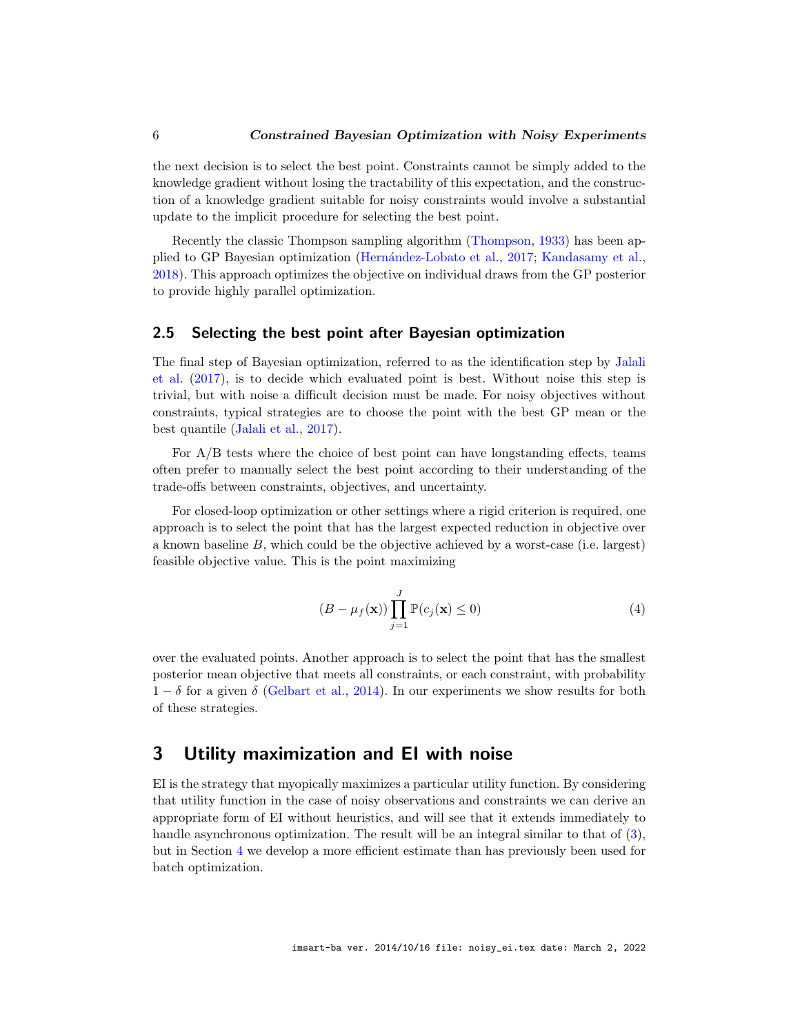<span id="page-5-1"></span>the next decision is to select the best point. Constraints cannot be simply added to the knowledge gradient without losing the tractability of this expectation, and the construction of a knowledge gradient suitable for noisy constraints would involve a substantial update to the implicit procedure for selecting the best point.

Recently the classic Thompson sampling algorithm [\(Thompson,](#page-23-9) [1933\)](#page-23-9) has been applied to GP Bayesian optimization [\(Hern´andez-Lobato et al.,](#page-21-8) [2017;](#page-21-8) [Kandasamy et al.,](#page-21-9) [2018\)](#page-21-9). This approach optimizes the objective on individual draws from the GP posterior to provide highly parallel optimization.

## 2.5 Selecting the best point after Bayesian optimization

The final step of Bayesian optimization, referred to as the identification step by [Jalali](#page-21-10) [et al.](#page-21-10) [\(2017\)](#page-21-10), is to decide which evaluated point is best. Without noise this step is trivial, but with noise a difficult decision must be made. For noisy objectives without constraints, typical strategies are to choose the point with the best GP mean or the best quantile [\(Jalali et al.,](#page-21-10) [2017\)](#page-21-10).

For A/B tests where the choice of best point can have longstanding effects, teams often prefer to manually select the best point according to their understanding of the trade-offs between constraints, objectives, and uncertainty.

For closed-loop optimization or other settings where a rigid criterion is required, one approach is to select the point that has the largest expected reduction in objective over a known baseline B, which could be the objective achieved by a worst-case (i.e. largest) feasible objective value. This is the point maximizing

<span id="page-5-0"></span>
$$
(B - \mu_f(\mathbf{x})) \prod_{j=1}^J \mathbb{P}(c_j(\mathbf{x}) \le 0)
$$
\n(4)

over the evaluated points. Another approach is to select the point that has the smallest posterior mean objective that meets all constraints, or each constraint, with probability  $1 - \delta$  for a given  $\delta$  [\(Gelbart et al.,](#page-20-5) [2014\)](#page-20-5). In our experiments we show results for both of these strategies.

## 3 Utility maximization and EI with noise

EI is the strategy that myopically maximizes a particular utility function. By considering that utility function in the case of noisy observations and constraints we can derive an appropriate form of EI without heuristics, and will see that it extends immediately to handle asynchronous optimization. The result will be an integral similar to that of [\(3\)](#page-4-1), but in Section [4](#page-7-0) we develop a more efficient estimate than has previously been used for batch optimization.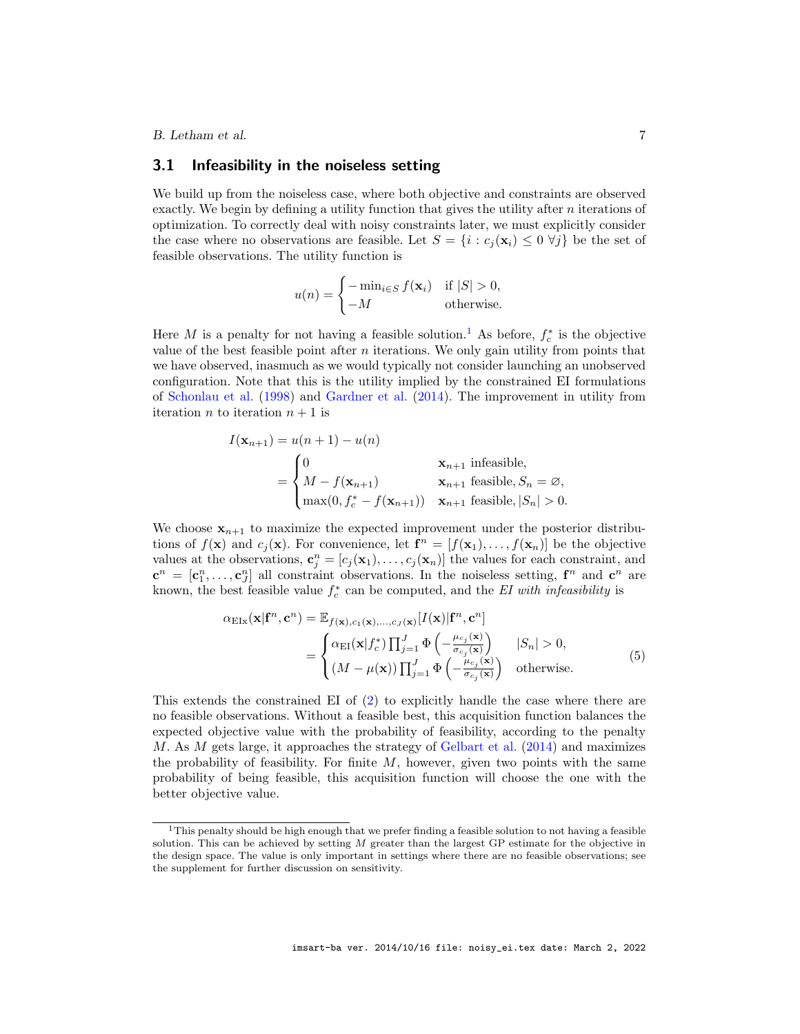### <span id="page-6-2"></span>3.1 Infeasibility in the noiseless setting

We build up from the noiseless case, where both objective and constraints are observed exactly. We begin by defining a utility function that gives the utility after n iterations of optimization. To correctly deal with noisy constraints later, we must explicitly consider the case where no observations are feasible. Let  $S = \{i : c_i(\mathbf{x}_i) \leq 0 \forall j\}$  be the set of feasible observations. The utility function is

$$
u(n) = \begin{cases} -\min_{i \in S} f(\mathbf{x}_i) & \text{if } |S| > 0, \\ -M & \text{otherwise.} \end{cases}
$$

Here M is a penalty for not having a feasible solution.<sup>[1](#page-6-0)</sup> As before,  $f_c^*$  is the objective value of the best feasible point after  $n$  iterations. We only gain utility from points that we have observed, inasmuch as we would typically not consider launching an unobserved configuration. Note that this is the utility implied by the constrained EI formulations of [Schonlau et al.](#page-22-4) [\(1998\)](#page-22-4) and [Gardner et al.](#page-20-4) [\(2014\)](#page-20-4). The improvement in utility from iteration *n* to iteration  $n + 1$  is

$$
I(\mathbf{x}_{n+1}) = u(n+1) - u(n)
$$
  
= 
$$
\begin{cases} 0 & \mathbf{x}_{n+1} \text{ infeasible,} \\ M - f(\mathbf{x}_{n+1}) & \mathbf{x}_{n+1} \text{ feasible, } S_n = \varnothing, \\ \max(0, f_c^* - f(\mathbf{x}_{n+1})) & \mathbf{x}_{n+1} \text{ feasible, } |S_n| > 0. \end{cases}
$$

We choose  $x_{n+1}$  to maximize the expected improvement under the posterior distributions of  $f(\mathbf{x})$  and  $c_j(\mathbf{x})$ . For convenience, let  $\mathbf{f}^n = [f(\mathbf{x}_1), \dots, f(\mathbf{x}_n)]$  be the objective values at the observations,  $\mathbf{c}_j^n = [c_j(\mathbf{x}_1), \dots, c_j(\mathbf{x}_n)]$  the values for each constraint, and  $\mathbf{c}^n = [\mathbf{c}_1^n, \dots, \mathbf{c}_J^n]$  all constraint observations. In the noiseless setting,  $\mathbf{f}^n$  and  $\mathbf{c}^n$  are known, the best feasible value  $f_c^*$  can be computed, and the EI with infeasibility is

<span id="page-6-1"></span>
$$
\alpha_{\text{EIx}}(\mathbf{x}|\mathbf{f}^{n}, \mathbf{c}^{n}) = \mathbb{E}_{f(\mathbf{x}), c_{1}(\mathbf{x}), \dots, c_{J}(\mathbf{x})}[I(\mathbf{x})|\mathbf{f}^{n}, \mathbf{c}^{n}]
$$
\n
$$
= \begin{cases}\n\alpha_{\text{EI}}(\mathbf{x}|f_{c}^{*}) \prod_{j=1}^{J} \Phi\left(-\frac{\mu_{c_{j}}(\mathbf{x})}{\sigma_{c_{j}}(\mathbf{x})}\right) & |S_{n}| > 0, \\
(M - \mu(\mathbf{x})) \prod_{j=1}^{J} \Phi\left(-\frac{\mu_{c_{j}}(\mathbf{x})}{\sigma_{c_{j}}(\mathbf{x})}\right) & \text{otherwise.} \n\end{cases}
$$
\n(5)

This extends the constrained EI of [\(2\)](#page-3-0) to explicitly handle the case where there are no feasible observations. Without a feasible best, this acquisition function balances the expected objective value with the probability of feasibility, according to the penalty M. As M gets large, it approaches the strategy of [Gelbart et al.](#page-20-5) [\(2014\)](#page-20-5) and maximizes the probability of feasibility. For finite  $M$ , however, given two points with the same probability of being feasible, this acquisition function will choose the one with the better objective value.

<span id="page-6-0"></span><sup>&</sup>lt;sup>1</sup>This penalty should be high enough that we prefer finding a feasible solution to not having a feasible solution. This can be achieved by setting  $M$  greater than the largest GP estimate for the objective in the design space. The value is only important in settings where there are no feasible observations; see the supplement for further discussion on sensitivity.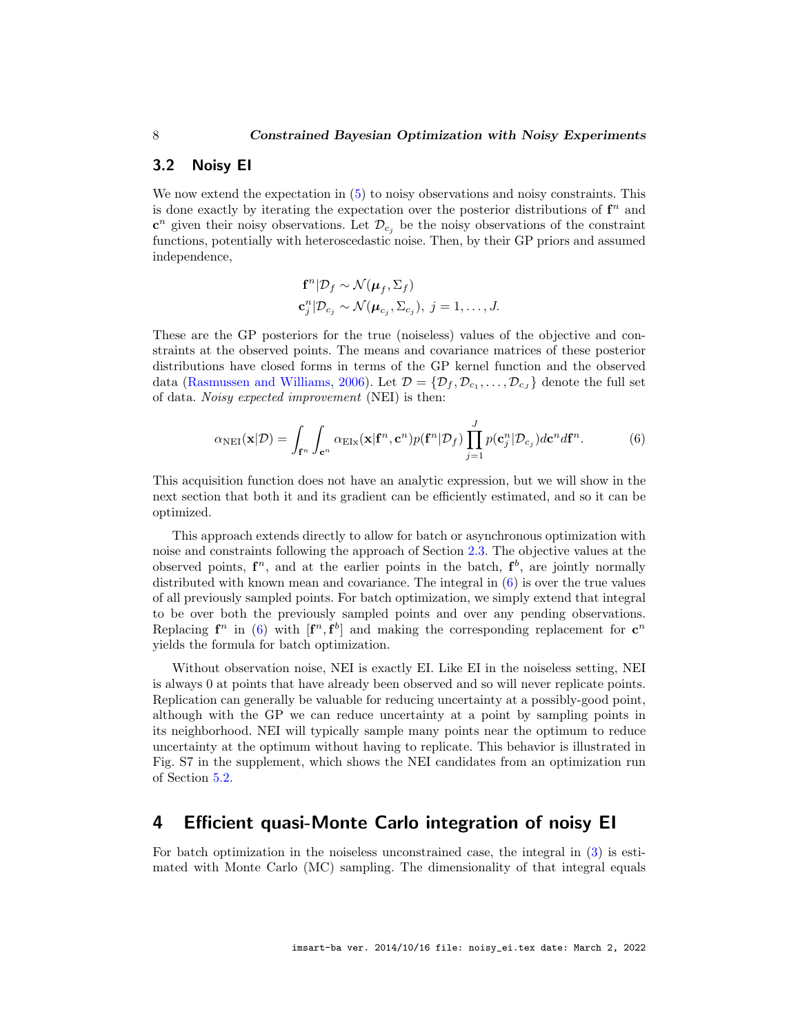### <span id="page-7-2"></span>3.2 Noisy EI

We now extend the expectation in  $(5)$  to noisy observations and noisy constraints. This is done exactly by iterating the expectation over the posterior distributions of  $f^n$  and  $\mathbf{c}^n$  given their noisy observations. Let  $\mathcal{D}_{c_j}$  be the noisy observations of the constraint functions, potentially with heteroscedastic noise. Then, by their GP priors and assumed independence,

<span id="page-7-1"></span>
$$
\mathbf{f}^n | \mathcal{D}_f \sim \mathcal{N}(\boldsymbol{\mu}_f, \Sigma_f)
$$
  

$$
\mathbf{c}_j^n | \mathcal{D}_{c_j} \sim \mathcal{N}(\boldsymbol{\mu}_{c_j}, \Sigma_{c_j}), \ j = 1, \dots, J.
$$

These are the GP posteriors for the true (noiseless) values of the objective and constraints at the observed points. The means and covariance matrices of these posterior distributions have closed forms in terms of the GP kernel function and the observed data [\(Rasmussen and Williams,](#page-22-7) [2006\)](#page-22-7). Let  $\mathcal{D} = \{\mathcal{D}_f, \mathcal{D}_{c_1}, \ldots, \mathcal{D}_{c_J}\}\$  denote the full set of data. Noisy expected improvement (NEI) is then:

$$
\alpha_{\text{NEI}}(\mathbf{x}|\mathcal{D}) = \int_{\mathbf{f}^n} \int_{\mathbf{c}^n} \alpha_{\text{EIx}}(\mathbf{x}|\mathbf{f}^n, \mathbf{c}^n) p(\mathbf{f}^n|\mathcal{D}_f) \prod_{j=1}^J p(\mathbf{c}_j^n|\mathcal{D}_{c_j}) d\mathbf{c}^n d\mathbf{f}^n.
$$
 (6)

This acquisition function does not have an analytic expression, but we will show in the next section that both it and its gradient can be efficiently estimated, and so it can be optimized.

This approach extends directly to allow for batch or asynchronous optimization with noise and constraints following the approach of Section [2.3.](#page-4-2) The objective values at the observed points,  $f^n$ , and at the earlier points in the batch,  $f^b$ , are jointly normally distributed with known mean and covariance. The integral in [\(6\)](#page-7-1) is over the true values of all previously sampled points. For batch optimization, we simply extend that integral to be over both the previously sampled points and over any pending observations. Replacing  $f^n$  in [\(6\)](#page-7-1) with  $[f^n, f^b]$  and making the corresponding replacement for  $c^n$ yields the formula for batch optimization.

Without observation noise, NEI is exactly EI. Like EI in the noiseless setting, NEI is always 0 at points that have already been observed and so will never replicate points. Replication can generally be valuable for reducing uncertainty at a possibly-good point, although with the GP we can reduce uncertainty at a point by sampling points in its neighborhood. NEI will typically sample many points near the optimum to reduce uncertainty at the optimum without having to replicate. This behavior is illustrated in Fig. S7 in the supplement, which shows the NEI candidates from an optimization run of Section [5.2.](#page-11-0)

## <span id="page-7-0"></span>4 Efficient quasi-Monte Carlo integration of noisy EI

For batch optimization in the noiseless unconstrained case, the integral in [\(3\)](#page-4-1) is estimated with Monte Carlo (MC) sampling. The dimensionality of that integral equals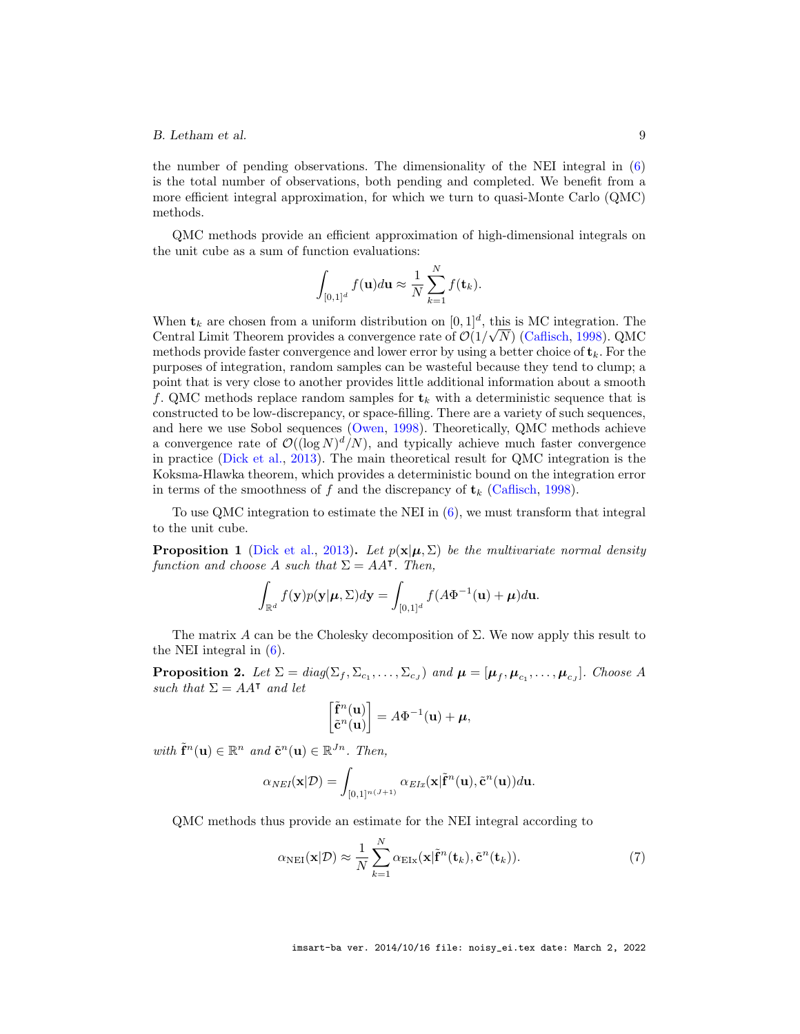<span id="page-8-2"></span>the number of pending observations. The dimensionality of the NEI integral in [\(6\)](#page-7-1) is the total number of observations, both pending and completed. We benefit from a more efficient integral approximation, for which we turn to quasi-Monte Carlo (QMC) methods.

QMC methods provide an efficient approximation of high-dimensional integrals on the unit cube as a sum of function evaluations:

$$
\int_{[0,1]^d} f(\mathbf{u}) d\mathbf{u} \approx \frac{1}{N} \sum_{k=1}^N f(\mathbf{t}_k).
$$

When  $\mathbf{t}_k$  are chosen from a uniform distribution on  $[0,1]^d$ , this is MC integration. The Central Limit Theorem provides a convergence rate of  $\mathcal{O}(1/\sqrt{N})$  [\(Caflisch,](#page-20-7) [1998\)](#page-20-7). QMC methods provide faster convergence and lower error by using a better choice of  $\mathbf{t}_k$ . For the purposes of integration, random samples can be wasteful because they tend to clump; a point that is very close to another provides little additional information about a smooth f. QMC methods replace random samples for  $\mathbf{t}_k$  with a deterministic sequence that is constructed to be low-discrepancy, or space-filling. There are a variety of such sequences, and here we use Sobol sequences [\(Owen,](#page-22-8) [1998\)](#page-22-8). Theoretically, QMC methods achieve a convergence rate of  $\mathcal{O}((\log N)^d/N)$ , and typically achieve much faster convergence in practice [\(Dick et al.,](#page-20-8) [2013\)](#page-20-8). The main theoretical result for QMC integration is the Koksma-Hlawka theorem, which provides a deterministic bound on the integration error in terms of the smoothness of f and the discrepancy of  $t_k$  [\(Caflisch,](#page-20-7) [1998\)](#page-20-7).

To use QMC integration to estimate the NEI in  $(6)$ , we must transform that integral to the unit cube.

<span id="page-8-0"></span>**Proposition 1** [\(Dick et al.,](#page-20-8) [2013\)](#page-20-8). Let  $p(\mathbf{x}|\boldsymbol{\mu}, \boldsymbol{\Sigma})$  be the multivariate normal density function and choose A such that  $\Sigma = AA^{\dagger}$ . Then,

$$
\int_{\mathbb{R}^d} f(\mathbf{y}) p(\mathbf{y} | \boldsymbol{\mu}, \Sigma) d\mathbf{y} = \int_{[0,1]^d} f(A\Phi^{-1}(\mathbf{u}) + \boldsymbol{\mu}) d\mathbf{u}.
$$

The matrix A can be the Cholesky decomposition of  $\Sigma$ . We now apply this result to the NEI integral in [\(6\)](#page-7-1).

**Proposition 2.** Let  $\Sigma = diag(\Sigma_f, \Sigma_{c_1}, \dots, \Sigma_{c_J})$  and  $\boldsymbol{\mu} = [\boldsymbol{\mu}_f, \boldsymbol{\mu}_{c_1}, \dots, \boldsymbol{\mu}_{c_J}]$ . Choose A such that  $\Sigma = AA^{\intercal}$  and let

$$
\begin{bmatrix} \tilde{\mathbf{f}}^n(\mathbf{u}) \\ \tilde{\mathbf{c}}^n(\mathbf{u}) \end{bmatrix} = A\Phi^{-1}(\mathbf{u}) + \boldsymbol{\mu},
$$

with  $\tilde{\mathbf{f}}^n(\mathbf{u}) \in \mathbb{R}^n$  and  $\tilde{\mathbf{c}}^n(\mathbf{u}) \in \mathbb{R}^{J_n}$ . Then,

$$
\alpha_{NEI}(\mathbf{x}|\mathcal{D}) = \int_{[0,1]^{n(J+1)}} \alpha_{EIx}(\mathbf{x}|\tilde{\mathbf{f}}^n(\mathbf{u}), \tilde{\mathbf{c}}^n(\mathbf{u})) d\mathbf{u}.
$$

QMC methods thus provide an estimate for the NEI integral according to

<span id="page-8-1"></span>
$$
\alpha_{\text{NEI}}(\mathbf{x}|\mathcal{D}) \approx \frac{1}{N} \sum_{k=1}^{N} \alpha_{\text{EIx}}(\mathbf{x}|\tilde{\mathbf{f}}^{n}(\mathbf{t}_{k}), \tilde{\mathbf{c}}^{n}(\mathbf{t}_{k})).
$$
\n(7)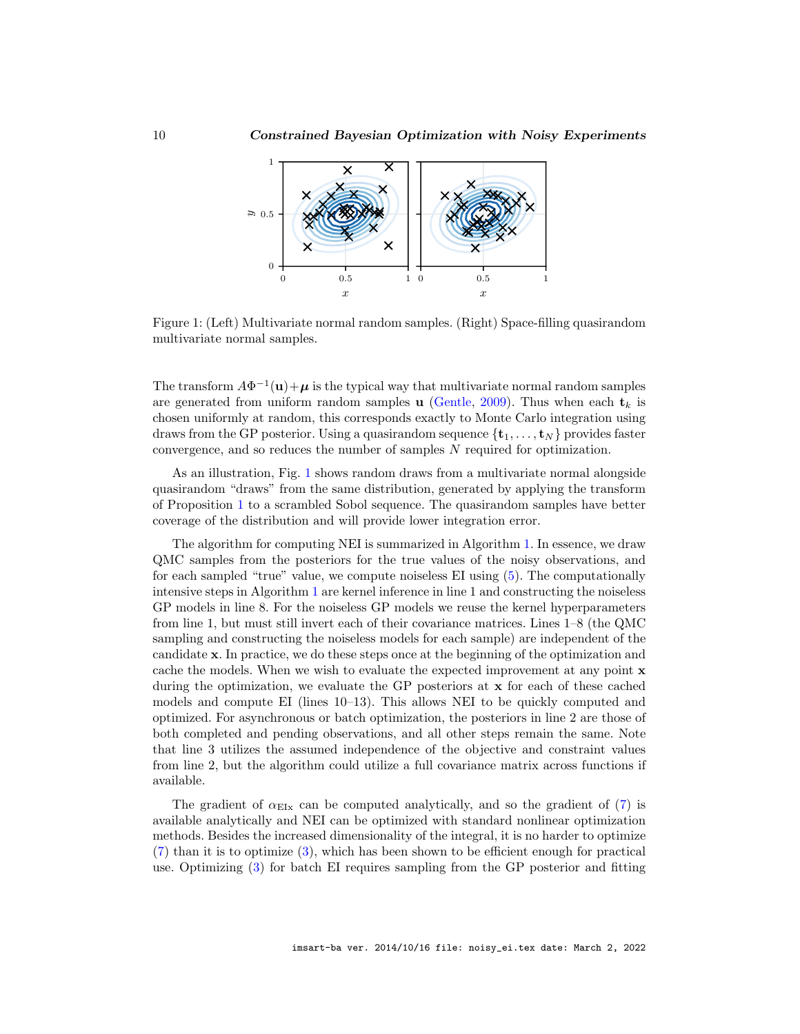<span id="page-9-2"></span>

<span id="page-9-0"></span>Figure 1: (Left) Multivariate normal random samples. (Right) Space-filling quasirandom multivariate normal samples.

The transform  $A\Phi^{-1}(\mathbf{u}) + \mu$  is the typical way that multivariate normal random samples are generated from uniform random samples **u** [\(Gentle,](#page-20-9) [2009\)](#page-20-9). Thus when each  $\mathbf{t}_k$  is chosen uniformly at random, this corresponds exactly to Monte Carlo integration using draws from the GP posterior. Using a quasirandom sequence  $\{t_1, \ldots, t_N\}$  provides faster convergence, and so reduces the number of samples N required for optimization.

As an illustration, Fig. [1](#page-9-0) shows random draws from a multivariate normal alongside quasirandom "draws" from the same distribution, generated by applying the transform of Proposition [1](#page-8-0) to a scrambled Sobol sequence. The quasirandom samples have better coverage of the distribution and will provide lower integration error.

The algorithm for computing NEI is summarized in Algorithm [1.](#page-9-1) In essence, we draw QMC samples from the posteriors for the true values of the noisy observations, and for each sampled "true" value, we compute noiseless EI using [\(5\)](#page-6-1). The computationally intensive steps in Algorithm [1](#page-9-1) are kernel inference in line 1 and constructing the noiseless GP models in line 8. For the noiseless GP models we reuse the kernel hyperparameters from line 1, but must still invert each of their covariance matrices. Lines 1–8 (the QMC sampling and constructing the noiseless models for each sample) are independent of the candidate x. In practice, we do these steps once at the beginning of the optimization and cache the models. When we wish to evaluate the expected improvement at any point x during the optimization, we evaluate the GP posteriors at  $x$  for each of these cached models and compute EI (lines 10–13). This allows NEI to be quickly computed and optimized. For asynchronous or batch optimization, the posteriors in line 2 are those of both completed and pending observations, and all other steps remain the same. Note that line 3 utilizes the assumed independence of the objective and constraint values from line 2, but the algorithm could utilize a full covariance matrix across functions if available.

<span id="page-9-1"></span>The gradient of  $\alpha_{\text{ELx}}$  can be computed analytically, and so the gradient of [\(7\)](#page-8-1) is available analytically and NEI can be optimized with standard nonlinear optimization methods. Besides the increased dimensionality of the integral, it is no harder to optimize [\(7\)](#page-8-1) than it is to optimize [\(3\)](#page-4-1), which has been shown to be efficient enough for practical use. Optimizing [\(3\)](#page-4-1) for batch EI requires sampling from the GP posterior and fitting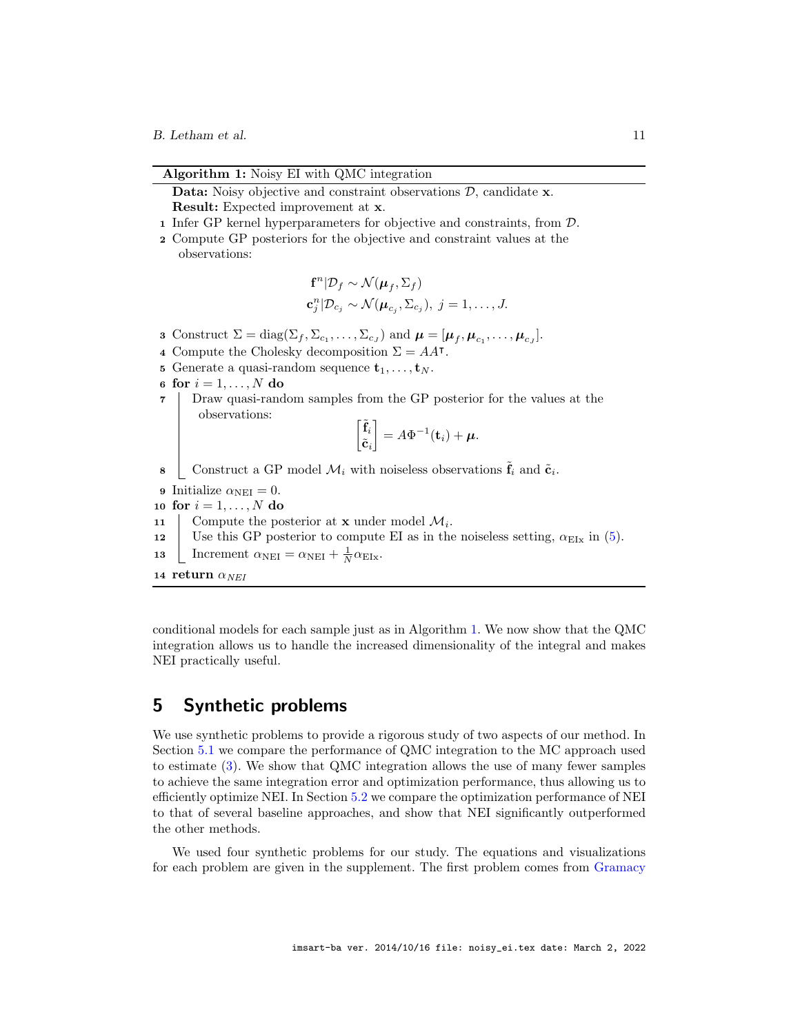#### <span id="page-10-0"></span>Algorithm 1: Noisy EI with QMC integration

Data: Noisy objective and constraint observations  $\mathcal{D}$ , candidate x. Result: Expected improvement at x.

- <sup>1</sup> Infer GP kernel hyperparameters for objective and constraints, from D.
- 2 Compute GP posteriors for the objective and constraint values at the observations:

$$
\begin{aligned} \mathbf{f}^n | \mathcal{D}_f \sim \mathcal{N}(\boldsymbol{\mu}_f, \Sigma_f) \\ \mathbf{c}_j^n | \mathcal{D}_{c_j} \sim \mathcal{N}(\boldsymbol{\mu}_{c_j}, \Sigma_{c_j}), \ j = 1, \dots, J. \end{aligned}
$$

- **3** Construct  $\Sigma = \text{diag}(\Sigma_f, \Sigma_{c_1}, \dots, \Sigma_{c_J})$  and  $\boldsymbol{\mu} = [\boldsymbol{\mu}_f, \boldsymbol{\mu}_{c_1}, \dots, \boldsymbol{\mu}_{c_J}].$
- 4 Compute the Cholesky decomposition  $\Sigma = AA^{\dagger}$ .
- 5 Generate a quasi-random sequence  $t_1, \ldots, t_N$ .
- 6 for  $i = 1, \ldots, N$  do
- <sup>7</sup> Draw quasi-random samples from the GP posterior for the values at the observations:  $\lceil \tilde{\mathbf{f}}_i$  $\tilde{\mathbf{c}}_i$  $\Big] = A \Phi^{-1}(\mathbf{t}_i) + \boldsymbol{\mu}.$ 8 Construct a GP model  $\mathcal{M}_i$  with noiseless observations  $\tilde{\mathbf{f}}_i$  and  $\tilde{\mathbf{c}}_i$ . **9** Initialize  $\alpha_{\text{NET}} = 0$ . 10 for  $i=1,\ldots,N$  do 11 Compute the posterior at **x** under model  $\mathcal{M}_i$ . 12 Use this GP posterior to compute EI as in the noiseless setting,  $\alpha_{\rm EIx}$  in [\(5\)](#page-6-1). 13  $\left\lfloor \right.$  Increment  $\alpha_{\text{NEI}} = \alpha_{\text{NEI}} + \frac{1}{N} \alpha_{\text{ELx}}$ .

14 return  $\alpha_{NEI}$ 

conditional models for each sample just as in Algorithm [1.](#page-9-1) We now show that the QMC integration allows us to handle the increased dimensionality of the integral and makes NEI practically useful.

## 5 Synthetic problems

We use synthetic problems to provide a rigorous study of two aspects of our method. In Section [5.1](#page-11-1) we compare the performance of QMC integration to the MC approach used to estimate [\(3\)](#page-4-1). We show that QMC integration allows the use of many fewer samples to achieve the same integration error and optimization performance, thus allowing us to efficiently optimize NEI. In Section [5.2](#page-11-0) we compare the optimization performance of NEI to that of several baseline approaches, and show that NEI significantly outperformed the other methods.

We used four synthetic problems for our study. The equations and visualizations for each problem are given in the supplement. The first problem comes from [Gramacy](#page-21-3)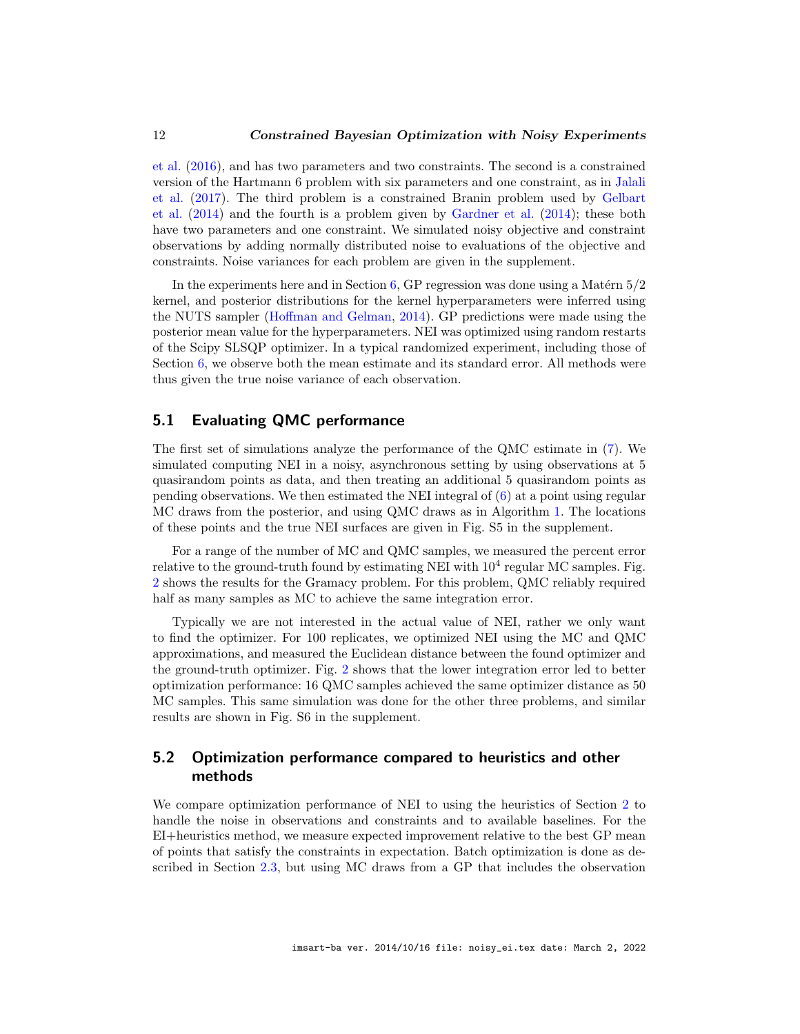#### <span id="page-11-2"></span>12 [Constrained Bayesian Optimization with Noisy Experiments](#page-21-3)

[et al.](#page-21-3) [\(2016\)](#page-21-3), and has two parameters and two constraints. The second is a constrained version of the Hartmann 6 problem with six parameters and one constraint, as in [Jalali](#page-21-10) [et al.](#page-21-10) [\(2017\)](#page-21-10). The third problem is a constrained Branin problem used by [Gelbart](#page-20-5) [et al.](#page-20-5) [\(2014\)](#page-20-5) and the fourth is a problem given by [Gardner et al.](#page-20-4) [\(2014\)](#page-20-4); these both have two parameters and one constraint. We simulated noisy objective and constraint observations by adding normally distributed noise to evaluations of the objective and constraints. Noise variances for each problem are given in the supplement.

In the experiments here and in Section [6,](#page-14-0) GP regression was done using a Matérn  $5/2$ kernel, and posterior distributions for the kernel hyperparameters were inferred using the NUTS sampler [\(Hoffman and Gelman,](#page-21-11) [2014\)](#page-21-11). GP predictions were made using the posterior mean value for the hyperparameters. NEI was optimized using random restarts of the Scipy SLSQP optimizer. In a typical randomized experiment, including those of Section  $6$ , we observe both the mean estimate and its standard error. All methods were thus given the true noise variance of each observation.

### <span id="page-11-1"></span>5.1 Evaluating QMC performance

The first set of simulations analyze the performance of the QMC estimate in [\(7\)](#page-8-1). We simulated computing NEI in a noisy, asynchronous setting by using observations at 5 quasirandom points as data, and then treating an additional 5 quasirandom points as pending observations. We then estimated the NEI integral of  $(6)$  at a point using regular MC draws from the posterior, and using QMC draws as in Algorithm [1.](#page-9-1) The locations of these points and the true NEI surfaces are given in Fig. S5 in the supplement.

For a range of the number of MC and QMC samples, we measured the percent error relative to the ground-truth found by estimating NEI with  $10^4$  regular MC samples. Fig. [2](#page-12-0) shows the results for the Gramacy problem. For this problem, QMC reliably required half as many samples as MC to achieve the same integration error.

Typically we are not interested in the actual value of NEI, rather we only want to find the optimizer. For 100 replicates, we optimized NEI using the MC and QMC approximations, and measured the Euclidean distance between the found optimizer and the ground-truth optimizer. Fig. [2](#page-12-0) shows that the lower integration error led to better optimization performance: 16 QMC samples achieved the same optimizer distance as 50 MC samples. This same simulation was done for the other three problems, and similar results are shown in Fig. S6 in the supplement.

## <span id="page-11-0"></span>5.2 Optimization performance compared to heuristics and other methods

We compare optimization performance of NEI to using the heuristics of Section [2](#page-2-2) to handle the noise in observations and constraints and to available baselines. For the EI+heuristics method, we measure expected improvement relative to the best GP mean of points that satisfy the constraints in expectation. Batch optimization is done as described in Section [2.3,](#page-4-2) but using MC draws from a GP that includes the observation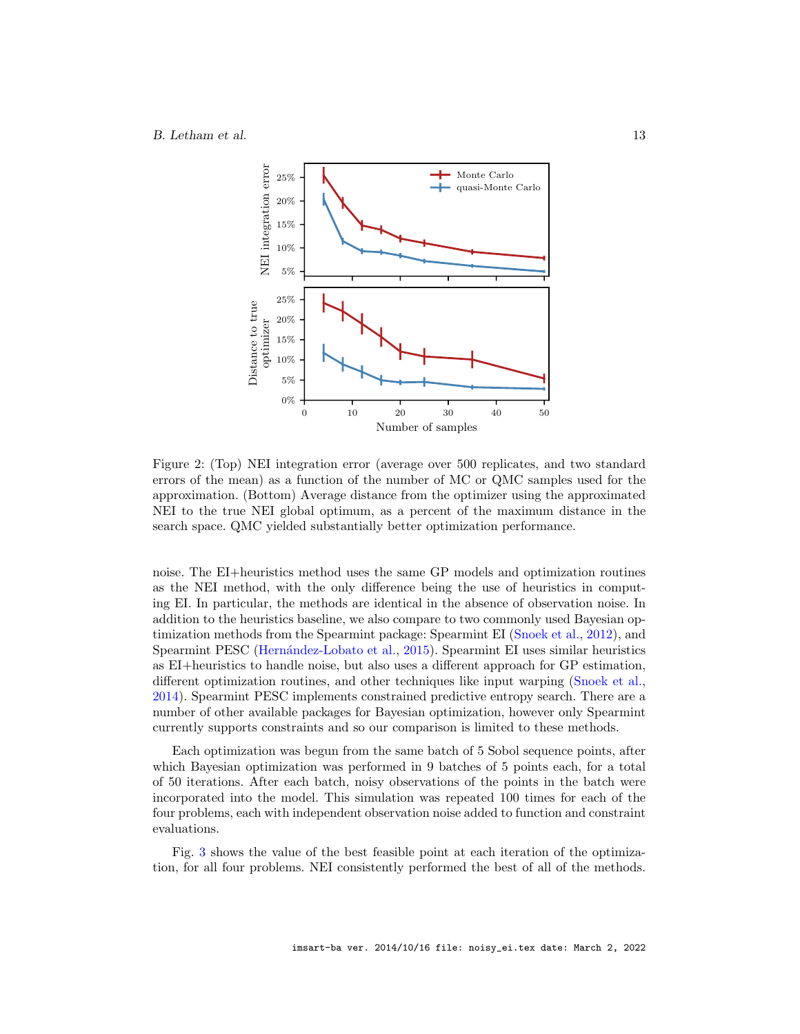<span id="page-12-1"></span>

<span id="page-12-0"></span>Figure 2: (Top) NEI integration error (average over 500 replicates, and two standard errors of the mean) as a function of the number of MC or QMC samples used for the approximation. (Bottom) Average distance from the optimizer using the approximated NEI to the true NEI global optimum, as a percent of the maximum distance in the search space. QMC yielded substantially better optimization performance.

noise. The EI+heuristics method uses the same GP models and optimization routines as the NEI method, with the only difference being the use of heuristics in computing EI. In particular, the methods are identical in the absence of observation noise. In addition to the heuristics baseline, we also compare to two commonly used Bayesian optimization methods from the Spearmint package: Spearmint EI [\(Snoek et al.,](#page-23-0) [2012\)](#page-23-0), and Spearmint PESC [\(Hern´andez-Lobato et al.,](#page-21-7) [2015\)](#page-21-7). Spearmint EI uses similar heuristics as EI+heuristics to handle noise, but also uses a different approach for GP estimation, different optimization routines, and other techniques like input warping [\(Snoek et al.,](#page-23-10) [2014\)](#page-23-10). Spearmint PESC implements constrained predictive entropy search. There are a number of other available packages for Bayesian optimization, however only Spearmint currently supports constraints and so our comparison is limited to these methods.

Each optimization was begun from the same batch of 5 Sobol sequence points, after which Bayesian optimization was performed in 9 batches of 5 points each, for a total of 50 iterations. After each batch, noisy observations of the points in the batch were incorporated into the model. This simulation was repeated 100 times for each of the four problems, each with independent observation noise added to function and constraint evaluations.

Fig. [3](#page-13-0) shows the value of the best feasible point at each iteration of the optimization, for all four problems. NEI consistently performed the best of all of the methods.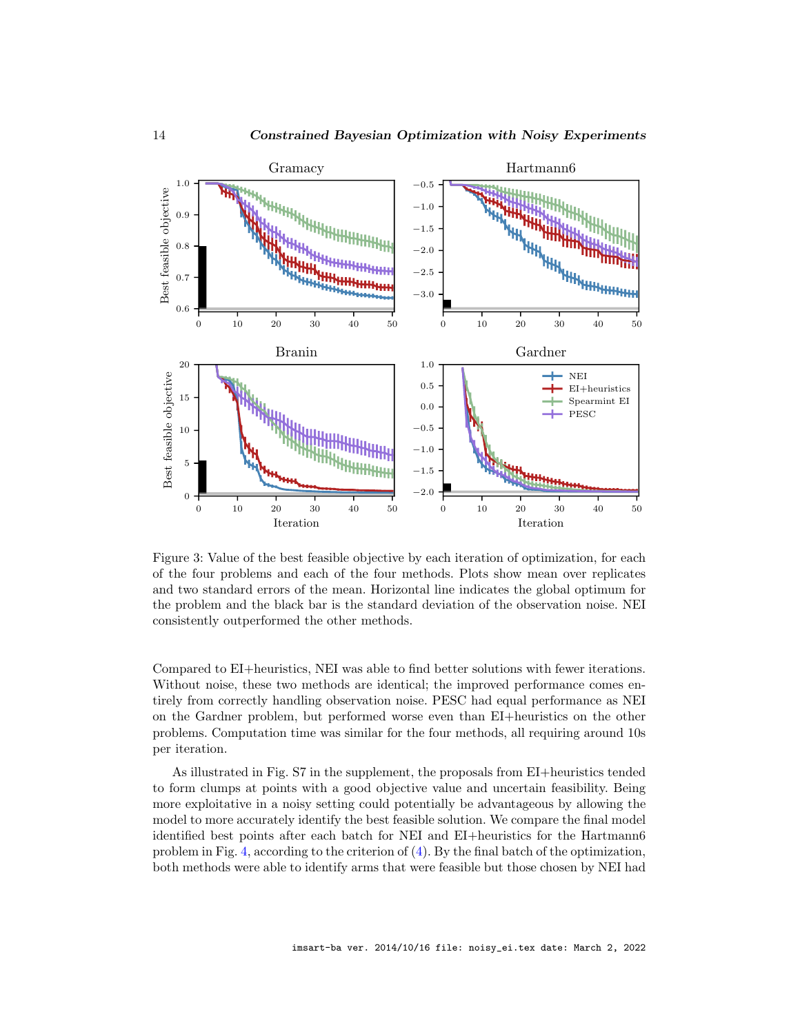

<span id="page-13-0"></span>Figure 3: Value of the best feasible objective by each iteration of optimization, for each of the four problems and each of the four methods. Plots show mean over replicates and two standard errors of the mean. Horizontal line indicates the global optimum for the problem and the black bar is the standard deviation of the observation noise. NEI consistently outperformed the other methods.

Compared to EI+heuristics, NEI was able to find better solutions with fewer iterations. Without noise, these two methods are identical; the improved performance comes entirely from correctly handling observation noise. PESC had equal performance as NEI on the Gardner problem, but performed worse even than EI+heuristics on the other problems. Computation time was similar for the four methods, all requiring around 10s per iteration.

As illustrated in Fig. S7 in the supplement, the proposals from EI+heuristics tended to form clumps at points with a good objective value and uncertain feasibility. Being more exploitative in a noisy setting could potentially be advantageous by allowing the model to more accurately identify the best feasible solution. We compare the final model identified best points after each batch for NEI and EI+heuristics for the Hartmann6 problem in Fig. [4,](#page-14-1) according to the criterion of  $(4)$ . By the final batch of the optimization, both methods were able to identify arms that were feasible but those chosen by NEI had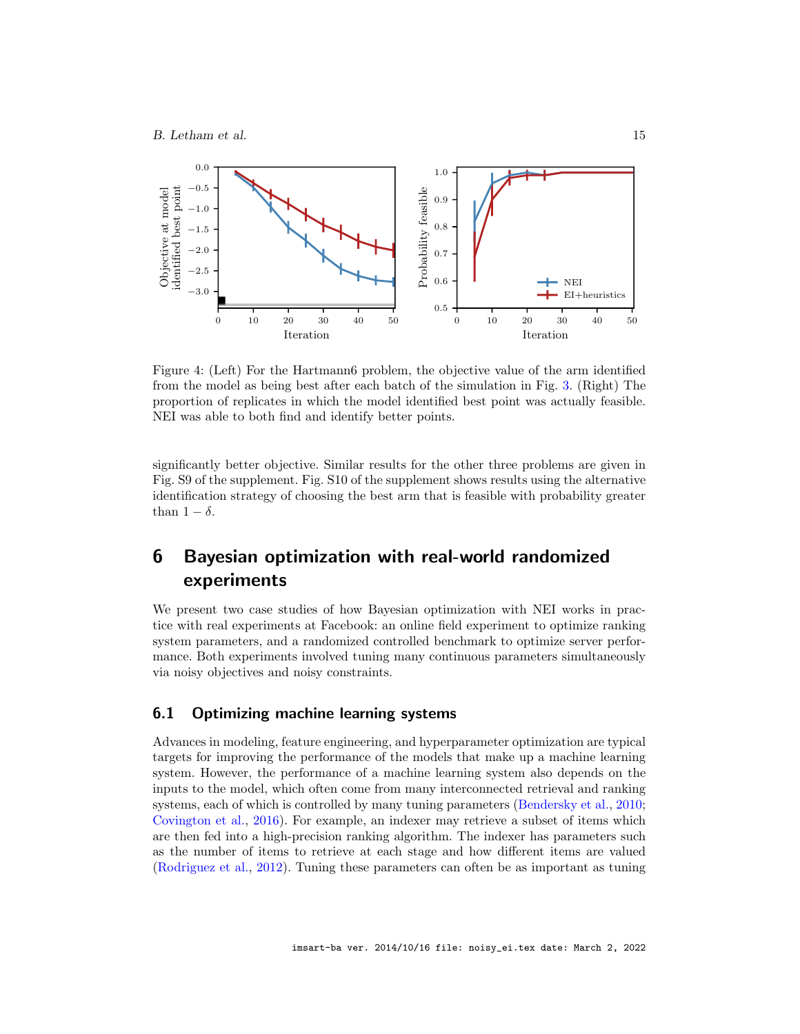<span id="page-14-2"></span>

<span id="page-14-1"></span>Figure 4: (Left) For the Hartmann6 problem, the objective value of the arm identified from the model as being best after each batch of the simulation in Fig. [3.](#page-13-0) (Right) The proportion of replicates in which the model identified best point was actually feasible. NEI was able to both find and identify better points.

significantly better objective. Similar results for the other three problems are given in Fig. S9 of the supplement. Fig. S10 of the supplement shows results using the alternative identification strategy of choosing the best arm that is feasible with probability greater than  $1 - \delta$ .

## <span id="page-14-0"></span>6 Bayesian optimization with real-world randomized experiments

We present two case studies of how Bayesian optimization with NEI works in practice with real experiments at Facebook: an online field experiment to optimize ranking system parameters, and a randomized controlled benchmark to optimize server performance. Both experiments involved tuning many continuous parameters simultaneously via noisy objectives and noisy constraints.

## 6.1 Optimizing machine learning systems

Advances in modeling, feature engineering, and hyperparameter optimization are typical targets for improving the performance of the models that make up a machine learning system. However, the performance of a machine learning system also depends on the inputs to the model, which often come from many interconnected retrieval and ranking systems, each of which is controlled by many tuning parameters [\(Bendersky et al.,](#page-20-10) [2010;](#page-20-10) [Covington et al.,](#page-20-11) [2016\)](#page-20-11). For example, an indexer may retrieve a subset of items which are then fed into a high-precision ranking algorithm. The indexer has parameters such as the number of items to retrieve at each stage and how different items are valued [\(Rodriguez et al.,](#page-22-9) [2012\)](#page-22-9). Tuning these parameters can often be as important as tuning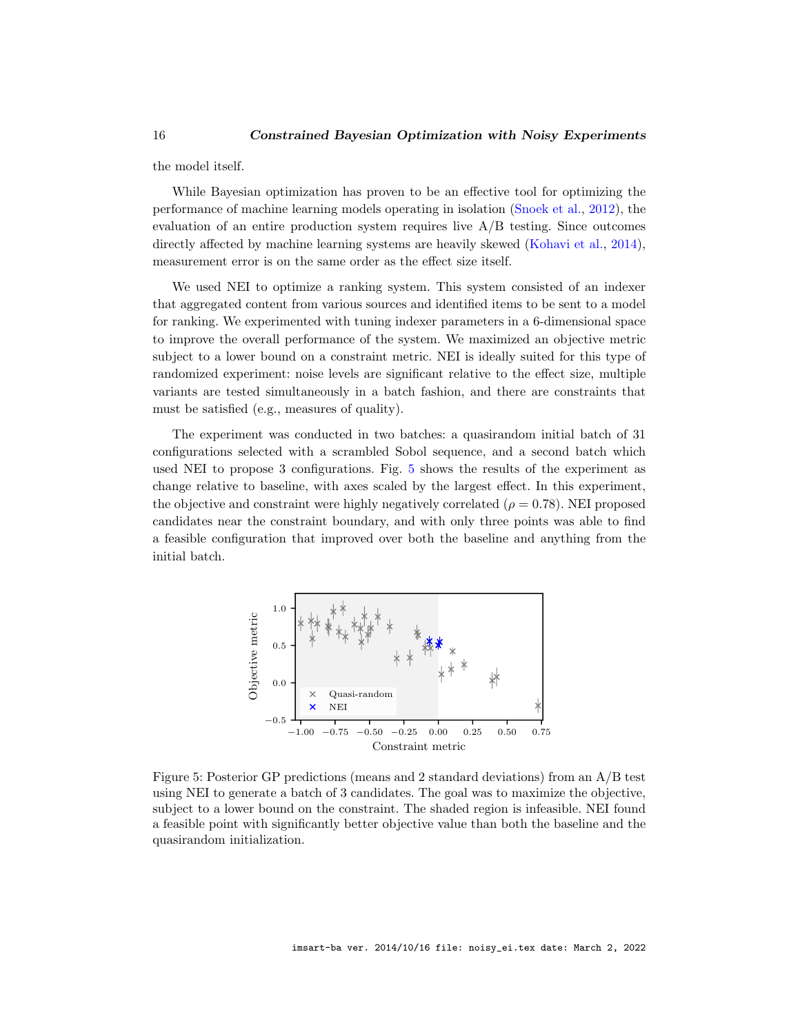the model itself.

While Bayesian optimization has proven to be an effective tool for optimizing the performance of machine learning models operating in isolation [\(Snoek et al.,](#page-23-0) [2012\)](#page-23-0), the evaluation of an entire production system requires live A/B testing. Since outcomes directly affected by machine learning systems are heavily skewed [\(Kohavi et al.,](#page-22-10) [2014\)](#page-22-10), measurement error is on the same order as the effect size itself.

We used NEI to optimize a ranking system. This system consisted of an indexer that aggregated content from various sources and identified items to be sent to a model for ranking. We experimented with tuning indexer parameters in a 6-dimensional space to improve the overall performance of the system. We maximized an objective metric subject to a lower bound on a constraint metric. NEI is ideally suited for this type of randomized experiment: noise levels are significant relative to the effect size, multiple variants are tested simultaneously in a batch fashion, and there are constraints that must be satisfied (e.g., measures of quality).

The experiment was conducted in two batches: a quasirandom initial batch of 31 configurations selected with a scrambled Sobol sequence, and a second batch which used NEI to propose 3 configurations. Fig. [5](#page-15-0) shows the results of the experiment as change relative to baseline, with axes scaled by the largest effect. In this experiment, the objective and constraint were highly negatively correlated ( $\rho = 0.78$ ). NEI proposed candidates near the constraint boundary, and with only three points was able to find a feasible configuration that improved over both the baseline and anything from the initial batch.



<span id="page-15-0"></span>Figure 5: Posterior GP predictions (means and 2 standard deviations) from an A/B test using NEI to generate a batch of 3 candidates. The goal was to maximize the objective, subject to a lower bound on the constraint. The shaded region is infeasible. NEI found a feasible point with significantly better objective value than both the baseline and the quasirandom initialization.

<span id="page-15-1"></span>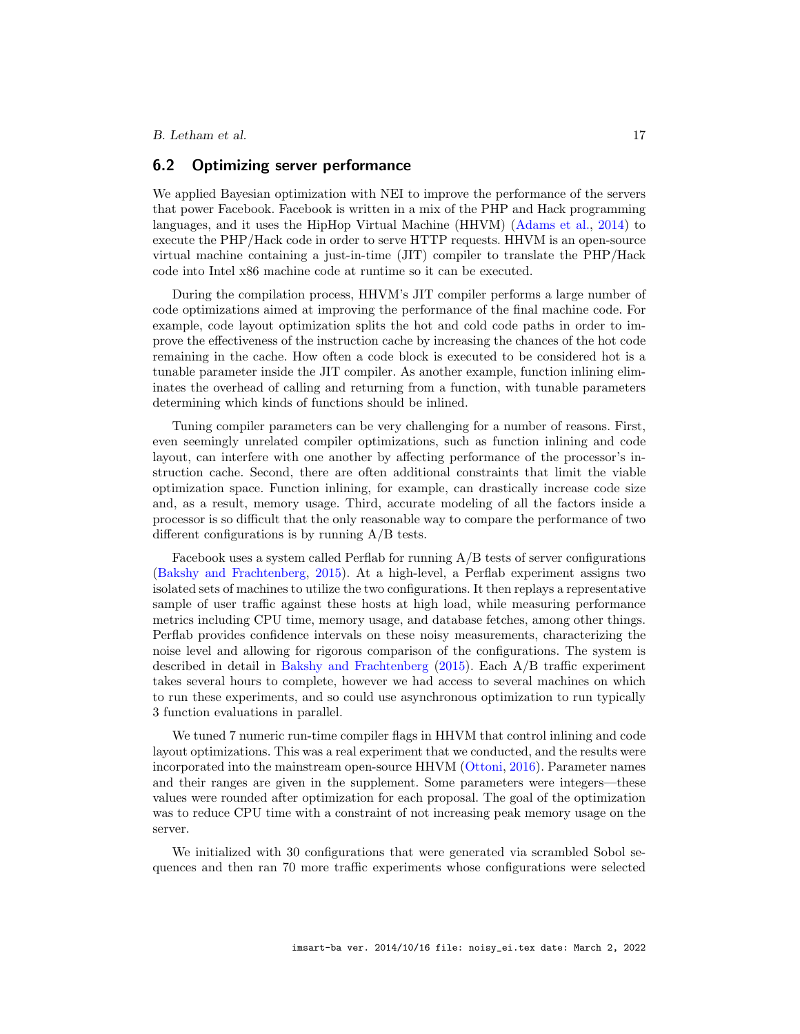### <span id="page-16-0"></span>6.2 Optimizing server performance

We applied Bayesian optimization with NEI to improve the performance of the servers that power Facebook. Facebook is written in a mix of the PHP and Hack programming languages, and it uses the HipHop Virtual Machine (HHVM) [\(Adams et al.,](#page-19-0) [2014\)](#page-19-0) to execute the PHP/Hack code in order to serve HTTP requests. HHVM is an open-source virtual machine containing a just-in-time (JIT) compiler to translate the PHP/Hack code into Intel x86 machine code at runtime so it can be executed.

During the compilation process, HHVM's JIT compiler performs a large number of code optimizations aimed at improving the performance of the final machine code. For example, code layout optimization splits the hot and cold code paths in order to improve the effectiveness of the instruction cache by increasing the chances of the hot code remaining in the cache. How often a code block is executed to be considered hot is a tunable parameter inside the JIT compiler. As another example, function inlining eliminates the overhead of calling and returning from a function, with tunable parameters determining which kinds of functions should be inlined.

Tuning compiler parameters can be very challenging for a number of reasons. First, even seemingly unrelated compiler optimizations, such as function inlining and code layout, can interfere with one another by affecting performance of the processor's instruction cache. Second, there are often additional constraints that limit the viable optimization space. Function inlining, for example, can drastically increase code size and, as a result, memory usage. Third, accurate modeling of all the factors inside a processor is so difficult that the only reasonable way to compare the performance of two different configurations is by running A/B tests.

Facebook uses a system called Perflab for running A/B tests of server configurations [\(Bakshy and Frachtenberg,](#page-20-12) [2015\)](#page-20-12). At a high-level, a Perflab experiment assigns two isolated sets of machines to utilize the two configurations. It then replays a representative sample of user traffic against these hosts at high load, while measuring performance metrics including CPU time, memory usage, and database fetches, among other things. Perflab provides confidence intervals on these noisy measurements, characterizing the noise level and allowing for rigorous comparison of the configurations. The system is described in detail in [Bakshy and Frachtenberg](#page-20-12) [\(2015\)](#page-20-12). Each A/B traffic experiment takes several hours to complete, however we had access to several machines on which to run these experiments, and so could use asynchronous optimization to run typically 3 function evaluations in parallel.

We tuned 7 numeric run-time compiler flags in HHVM that control inlining and code layout optimizations. This was a real experiment that we conducted, and the results were incorporated into the mainstream open-source HHVM [\(Ottoni,](#page-22-11) [2016\)](#page-22-11). Parameter names and their ranges are given in the supplement. Some parameters were integers—these values were rounded after optimization for each proposal. The goal of the optimization was to reduce CPU time with a constraint of not increasing peak memory usage on the server.

We initialized with 30 configurations that were generated via scrambled Sobol sequences and then ran 70 more traffic experiments whose configurations were selected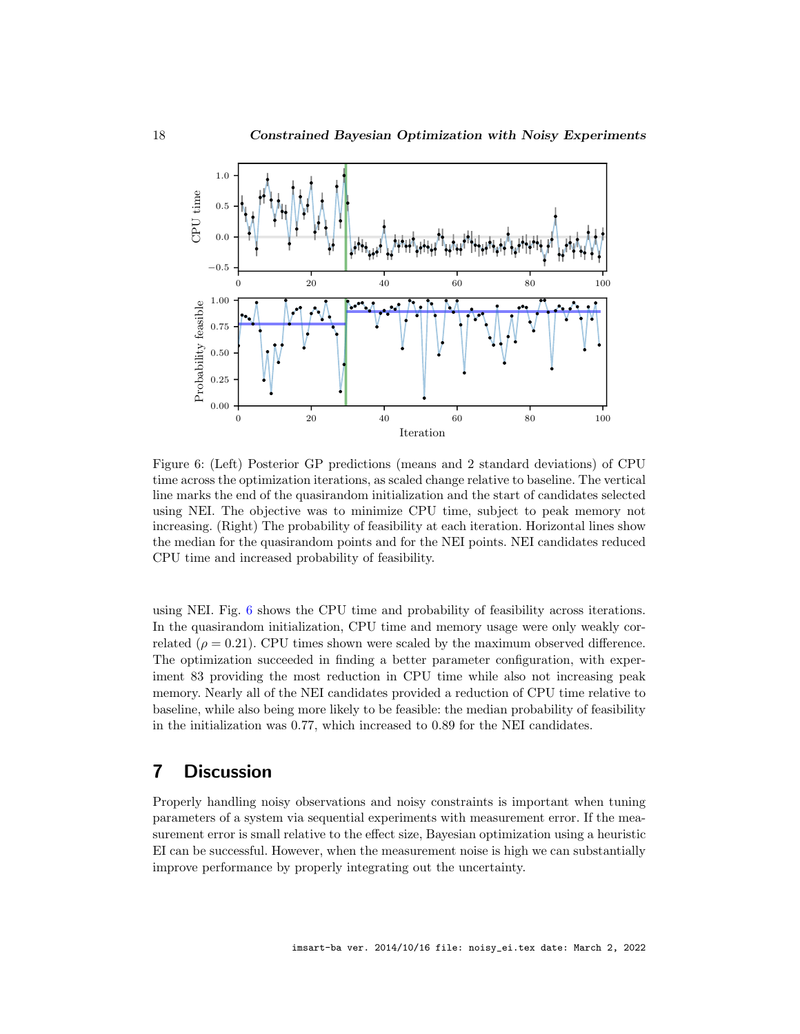

<span id="page-17-0"></span>Figure 6: (Left) Posterior GP predictions (means and 2 standard deviations) of CPU time across the optimization iterations, as scaled change relative to baseline. The vertical line marks the end of the quasirandom initialization and the start of candidates selected using NEI. The objective was to minimize CPU time, subject to peak memory not increasing. (Right) The probability of feasibility at each iteration. Horizontal lines show the median for the quasirandom points and for the NEI points. NEI candidates reduced CPU time and increased probability of feasibility.

using NEI. Fig. [6](#page-17-0) shows the CPU time and probability of feasibility across iterations. In the quasirandom initialization, CPU time and memory usage were only weakly correlated ( $\rho = 0.21$ ). CPU times shown were scaled by the maximum observed difference. The optimization succeeded in finding a better parameter configuration, with experiment 83 providing the most reduction in CPU time while also not increasing peak memory. Nearly all of the NEI candidates provided a reduction of CPU time relative to baseline, while also being more likely to be feasible: the median probability of feasibility in the initialization was 0.77, which increased to 0.89 for the NEI candidates.

## 7 Discussion

Properly handling noisy observations and noisy constraints is important when tuning parameters of a system via sequential experiments with measurement error. If the measurement error is small relative to the effect size, Bayesian optimization using a heuristic EI can be successful. However, when the measurement noise is high we can substantially improve performance by properly integrating out the uncertainty.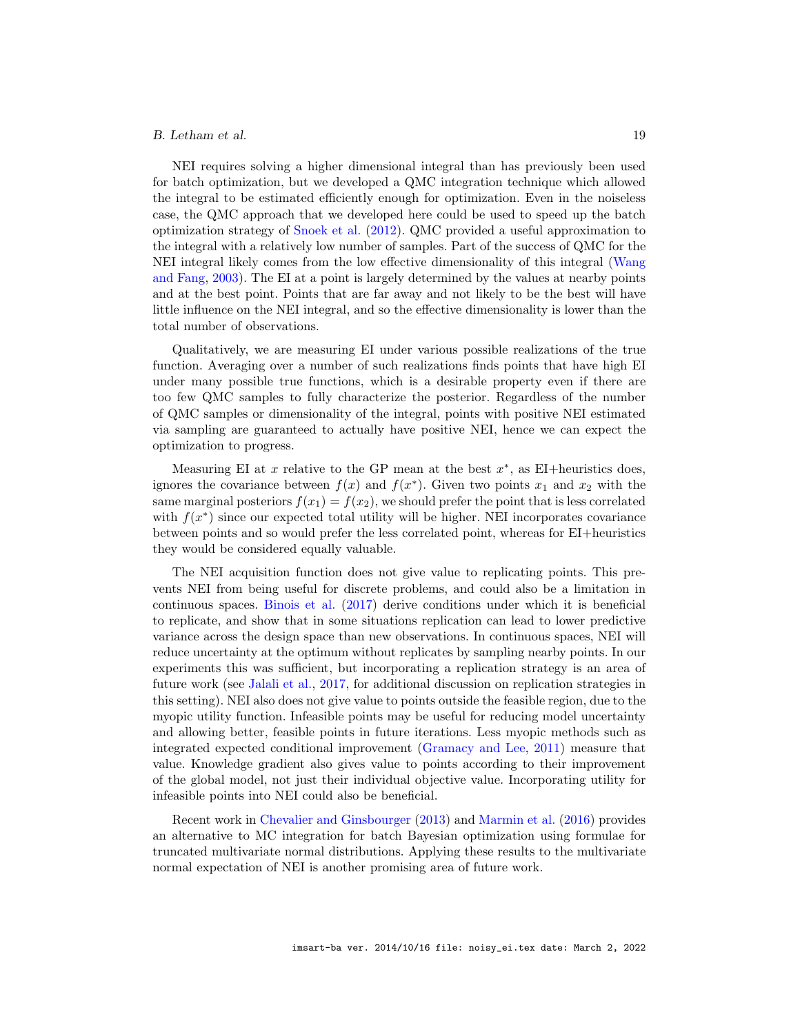<span id="page-18-0"></span>NEI requires solving a higher dimensional integral than has previously been used for batch optimization, but we developed a QMC integration technique which allowed the integral to be estimated efficiently enough for optimization. Even in the noiseless case, the QMC approach that we developed here could be used to speed up the batch optimization strategy of [Snoek et al.](#page-23-0) [\(2012\)](#page-23-0). QMC provided a useful approximation to the integral with a relatively low number of samples. Part of the success of QMC for the NEI integral likely comes from the low effective dimensionality of this integral [\(Wang](#page-23-11) [and Fang,](#page-23-11) [2003\)](#page-23-11). The EI at a point is largely determined by the values at nearby points and at the best point. Points that are far away and not likely to be the best will have little influence on the NEI integral, and so the effective dimensionality is lower than the total number of observations.

Qualitatively, we are measuring EI under various possible realizations of the true function. Averaging over a number of such realizations finds points that have high EI under many possible true functions, which is a desirable property even if there are too few QMC samples to fully characterize the posterior. Regardless of the number of QMC samples or dimensionality of the integral, points with positive NEI estimated via sampling are guaranteed to actually have positive NEI, hence we can expect the optimization to progress.

Measuring EI at x relative to the GP mean at the best  $x^*$ , as EI+heuristics does, ignores the covariance between  $f(x)$  and  $f(x^*)$ . Given two points  $x_1$  and  $x_2$  with the same marginal posteriors  $f(x_1) = f(x_2)$ , we should prefer the point that is less correlated with  $f(x^*)$  since our expected total utility will be higher. NEI incorporates covariance between points and so would prefer the less correlated point, whereas for EI+heuristics they would be considered equally valuable.

The NEI acquisition function does not give value to replicating points. This prevents NEI from being useful for discrete problems, and could also be a limitation in continuous spaces. [Binois et al.](#page-20-13) [\(2017\)](#page-20-13) derive conditions under which it is beneficial to replicate, and show that in some situations replication can lead to lower predictive variance across the design space than new observations. In continuous spaces, NEI will reduce uncertainty at the optimum without replicates by sampling nearby points. In our experiments this was sufficient, but incorporating a replication strategy is an area of future work (see [Jalali et al.,](#page-21-10) [2017,](#page-21-10) for additional discussion on replication strategies in this setting). NEI also does not give value to points outside the feasible region, due to the myopic utility function. Infeasible points may be useful for reducing model uncertainty and allowing better, feasible points in future iterations. Less myopic methods such as integrated expected conditional improvement [\(Gramacy and Lee,](#page-21-1) [2011\)](#page-21-1) measure that value. Knowledge gradient also gives value to points according to their improvement of the global model, not just their individual objective value. Incorporating utility for infeasible points into NEI could also be beneficial.

Recent work in [Chevalier and Ginsbourger](#page-20-14) [\(2013\)](#page-20-14) and [Marmin et al.](#page-22-12) [\(2016\)](#page-22-12) provides an alternative to MC integration for batch Bayesian optimization using formulae for truncated multivariate normal distributions. Applying these results to the multivariate normal expectation of NEI is another promising area of future work.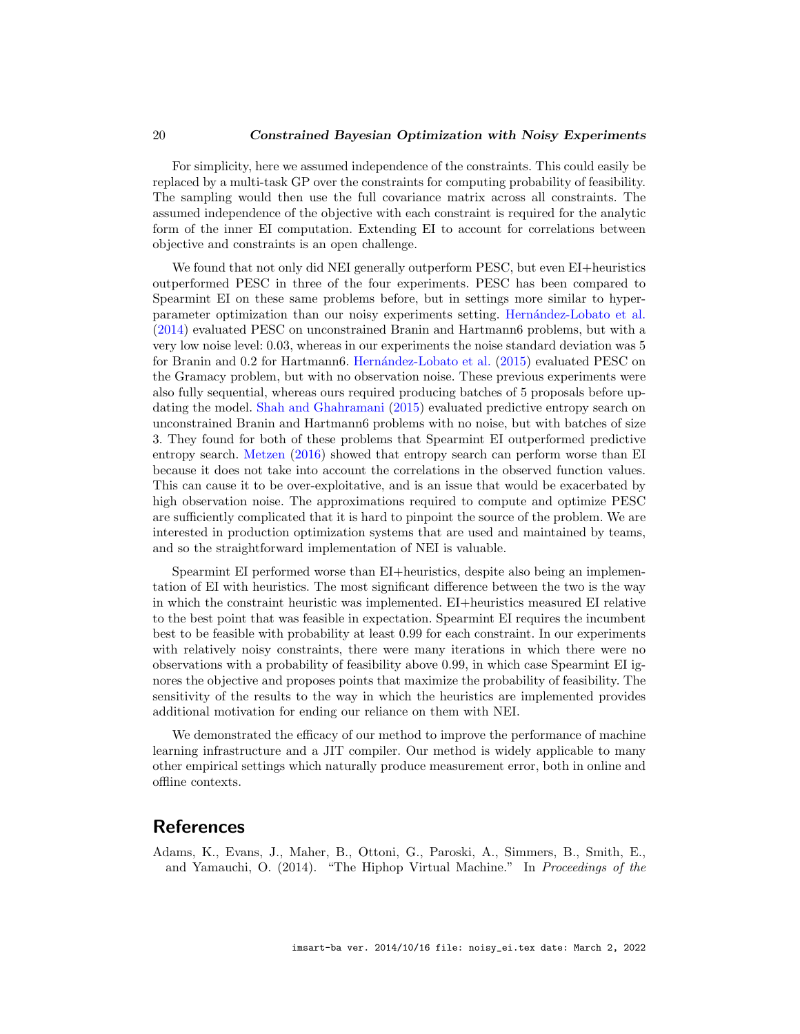#### <span id="page-19-1"></span>20 Constrained Bayesian Optimization with Noisy Experiments

For simplicity, here we assumed independence of the constraints. This could easily be replaced by a multi-task GP over the constraints for computing probability of feasibility. The sampling would then use the full covariance matrix across all constraints. The assumed independence of the objective with each constraint is required for the analytic form of the inner EI computation. Extending EI to account for correlations between objective and constraints is an open challenge.

We found that not only did NEI generally outperform PESC, but even EI+heuristics outperformed PESC in three of the four experiments. PESC has been compared to Spearmint EI on these same problems before, but in settings more similar to hyperparameter optimization than our noisy experiments setting. Hernández-Lobato et al. [\(2014\)](#page-21-6) evaluated PESC on unconstrained Branin and Hartmann6 problems, but with a very low noise level: 0.03, whereas in our experiments the noise standard deviation was 5 for Branin and 0.2 for Hartmann6. [Hern´andez-Lobato et al.](#page-21-7) [\(2015\)](#page-21-7) evaluated PESC on the Gramacy problem, but with no observation noise. These previous experiments were also fully sequential, whereas ours required producing batches of 5 proposals before updating the model. [Shah and Ghahramani](#page-23-6) [\(2015\)](#page-23-6) evaluated predictive entropy search on unconstrained Branin and Hartmann6 problems with no noise, but with batches of size 3. They found for both of these problems that Spearmint EI outperformed predictive entropy search. [Metzen](#page-22-13) [\(2016\)](#page-22-13) showed that entropy search can perform worse than EI because it does not take into account the correlations in the observed function values. This can cause it to be over-exploitative, and is an issue that would be exacerbated by high observation noise. The approximations required to compute and optimize PESC are sufficiently complicated that it is hard to pinpoint the source of the problem. We are interested in production optimization systems that are used and maintained by teams, and so the straightforward implementation of NEI is valuable.

Spearmint EI performed worse than EI+heuristics, despite also being an implementation of EI with heuristics. The most significant difference between the two is the way in which the constraint heuristic was implemented. EI+heuristics measured EI relative to the best point that was feasible in expectation. Spearmint EI requires the incumbent best to be feasible with probability at least 0.99 for each constraint. In our experiments with relatively noisy constraints, there were many iterations in which there were no observations with a probability of feasibility above 0.99, in which case Spearmint EI ignores the objective and proposes points that maximize the probability of feasibility. The sensitivity of the results to the way in which the heuristics are implemented provides additional motivation for ending our reliance on them with NEI.

We demonstrated the efficacy of our method to improve the performance of machine learning infrastructure and a JIT compiler. Our method is widely applicable to many other empirical settings which naturally produce measurement error, both in online and offline contexts.

## References

<span id="page-19-0"></span>Adams, K., Evans, J., Maher, B., Ottoni, G., Paroski, A., Simmers, B., Smith, E., and Yamauchi, O. (2014). "The Hiphop Virtual Machine." In Proceedings of the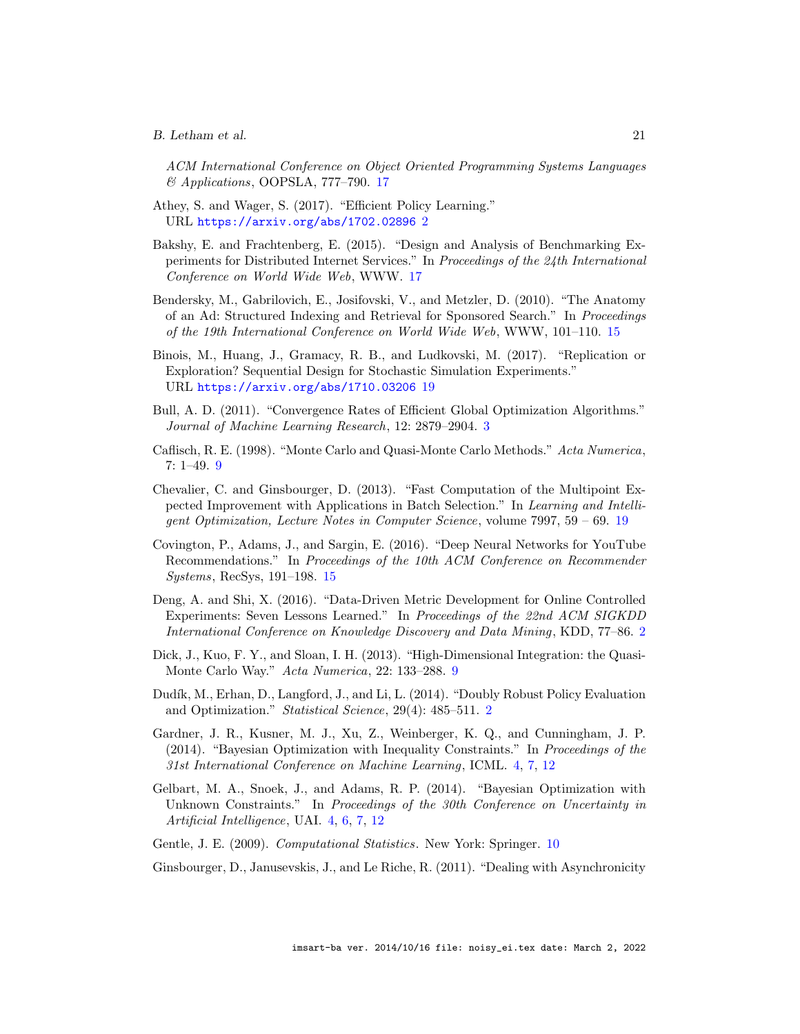ACM International Conference on Object Oriented Programming Systems Languages & Applications, OOPSLA, 777–790. [17](#page-16-0)

- <span id="page-20-1"></span>Athey, S. and Wager, S. (2017). "Efficient Policy Learning." URL <https://arxiv.org/abs/1702.02896> [2](#page-1-0)
- <span id="page-20-12"></span>Bakshy, E. and Frachtenberg, E. (2015). "Design and Analysis of Benchmarking Experiments for Distributed Internet Services." In Proceedings of the 24th International Conference on World Wide Web, WWW. [17](#page-16-0)
- <span id="page-20-10"></span>Bendersky, M., Gabrilovich, E., Josifovski, V., and Metzler, D. (2010). "The Anatomy of an Ad: Structured Indexing and Retrieval for Sponsored Search." In Proceedings of the 19th International Conference on World Wide Web, WWW, 101–110. [15](#page-14-2)
- <span id="page-20-13"></span>Binois, M., Huang, J., Gramacy, R. B., and Ludkovski, M. (2017). "Replication or Exploration? Sequential Design for Stochastic Simulation Experiments." URL <https://arxiv.org/abs/1710.03206> [19](#page-18-0)
- <span id="page-20-3"></span>Bull, A. D. (2011). "Convergence Rates of Efficient Global Optimization Algorithms." Journal of Machine Learning Research, 12: 2879–2904. [3](#page-2-3)
- <span id="page-20-7"></span>Caflisch, R. E. (1998). "Monte Carlo and Quasi-Monte Carlo Methods." Acta Numerica, 7: 1–49. [9](#page-8-2)
- <span id="page-20-14"></span>Chevalier, C. and Ginsbourger, D. (2013). "Fast Computation of the Multipoint Expected Improvement with Applications in Batch Selection." In Learning and Intelligent Optimization, Lecture Notes in Computer Science, volume 7997, 59 – 69. [19](#page-18-0)
- <span id="page-20-11"></span>Covington, P., Adams, J., and Sargin, E. (2016). "Deep Neural Networks for YouTube Recommendations." In Proceedings of the 10th ACM Conference on Recommender Systems, RecSys, 191–198. [15](#page-14-2)
- <span id="page-20-0"></span>Deng, A. and Shi, X. (2016). "Data-Driven Metric Development for Online Controlled Experiments: Seven Lessons Learned." In Proceedings of the 22nd ACM SIGKDD International Conference on Knowledge Discovery and Data Mining, KDD, 77–86. [2](#page-1-0)
- <span id="page-20-8"></span>Dick, J., Kuo, F. Y., and Sloan, I. H. (2013). "High-Dimensional Integration: the Quasi-Monte Carlo Way." Acta Numerica, 22: 133–288. [9](#page-8-2)
- <span id="page-20-2"></span>Dudík, M., Erhan, D., Langford, J., and Li, L. (2014). "Doubly Robust Policy Evaluation and Optimization." Statistical Science, 29(4): 485–511. [2](#page-1-0)
- <span id="page-20-4"></span>Gardner, J. R., Kusner, M. J., Xu, Z., Weinberger, K. Q., and Cunningham, J. P. (2014). "Bayesian Optimization with Inequality Constraints." In Proceedings of the 31st International Conference on Machine Learning, ICML. [4,](#page-3-1) [7,](#page-6-2) [12](#page-11-2)
- <span id="page-20-5"></span>Gelbart, M. A., Snoek, J., and Adams, R. P. (2014). "Bayesian Optimization with Unknown Constraints." In Proceedings of the 30th Conference on Uncertainty in Artificial Intelligence, UAI. [4,](#page-3-1) [6,](#page-5-1) [7,](#page-6-2) [12](#page-11-2)
- <span id="page-20-9"></span>Gentle, J. E. (2009). Computational Statistics. New York: Springer. [10](#page-9-2)
- <span id="page-20-6"></span>Ginsbourger, D., Janusevskis, J., and Le Riche, R. (2011). "Dealing with Asynchronicity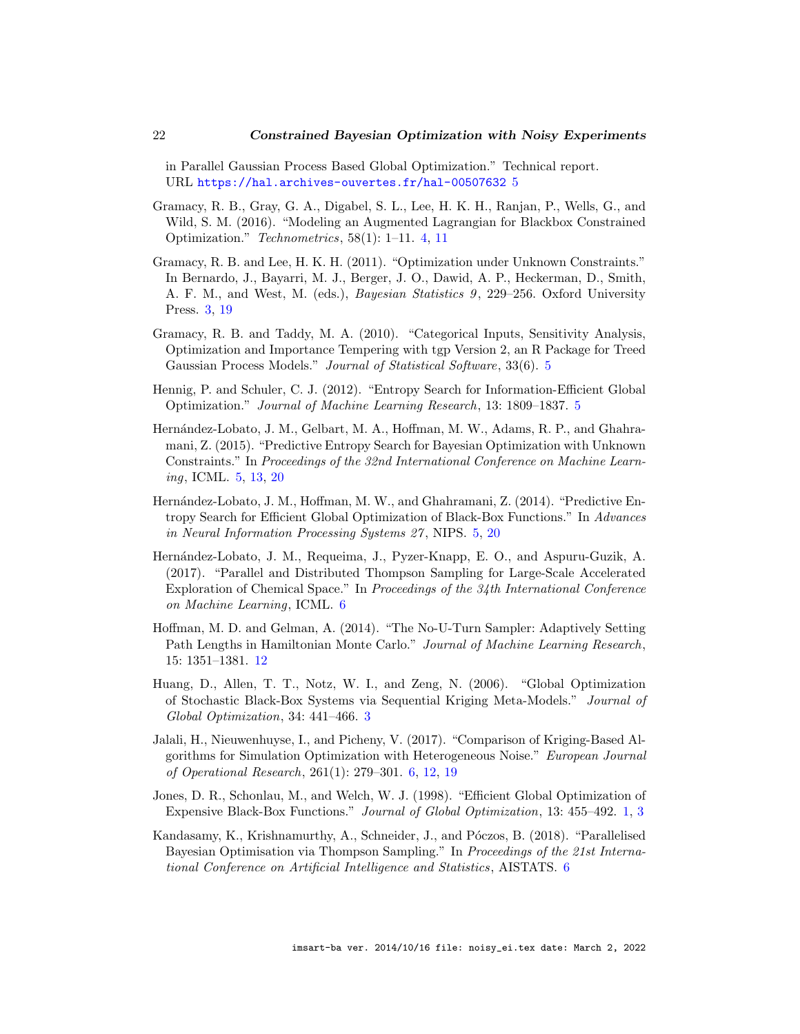in Parallel Gaussian Process Based Global Optimization." Technical report. URL <https://hal.archives-ouvertes.fr/hal-00507632> [5](#page-4-3)

- <span id="page-21-3"></span>Gramacy, R. B., Gray, G. A., Digabel, S. L., Lee, H. K. H., Ranjan, P., Wells, G., and Wild, S. M. (2016). "Modeling an Augmented Lagrangian for Blackbox Constrained Optimization." Technometrics, 58(1): 1–11. [4,](#page-3-1) [11](#page-10-0)
- <span id="page-21-1"></span>Gramacy, R. B. and Lee, H. K. H. (2011). "Optimization under Unknown Constraints." In Bernardo, J., Bayarri, M. J., Berger, J. O., Dawid, A. P., Heckerman, D., Smith, A. F. M., and West, M. (eds.), *Bayesian Statistics 9*, 229-256. Oxford University Press. [3,](#page-2-3) [19](#page-18-0)
- <span id="page-21-4"></span>Gramacy, R. B. and Taddy, M. A. (2010). "Categorical Inputs, Sensitivity Analysis, Optimization and Importance Tempering with tgp Version 2, an R Package for Treed Gaussian Process Models." Journal of Statistical Software, 33(6). [5](#page-4-3)
- <span id="page-21-5"></span>Hennig, P. and Schuler, C. J. (2012). "Entropy Search for Information-Efficient Global Optimization." Journal of Machine Learning Research, 13: 1809–1837. [5](#page-4-3)
- <span id="page-21-7"></span>Hernández-Lobato, J. M., Gelbart, M. A., Hoffman, M. W., Adams, R. P., and Ghahramani, Z. (2015). "Predictive Entropy Search for Bayesian Optimization with Unknown Constraints." In Proceedings of the 32nd International Conference on Machine Learning, ICML. [5,](#page-4-3) [13,](#page-12-1) [20](#page-19-1)
- <span id="page-21-6"></span>Hernández-Lobato, J. M., Hoffman, M. W., and Ghahramani, Z. (2014). "Predictive Entropy Search for Efficient Global Optimization of Black-Box Functions." In Advances in Neural Information Processing Systems 27 , NIPS. [5,](#page-4-3) [20](#page-19-1)
- <span id="page-21-8"></span>Hern´andez-Lobato, J. M., Requeima, J., Pyzer-Knapp, E. O., and Aspuru-Guzik, A. (2017). "Parallel and Distributed Thompson Sampling for Large-Scale Accelerated Exploration of Chemical Space." In Proceedings of the 34th International Conference on Machine Learning, ICML. [6](#page-5-1)
- <span id="page-21-11"></span>Hoffman, M. D. and Gelman, A. (2014). "The No-U-Turn Sampler: Adaptively Setting Path Lengths in Hamiltonian Monte Carlo." Journal of Machine Learning Research, 15: 1351–1381. [12](#page-11-2)
- <span id="page-21-2"></span>Huang, D., Allen, T. T., Notz, W. I., and Zeng, N. (2006). "Global Optimization of Stochastic Black-Box Systems via Sequential Kriging Meta-Models." Journal of Global Optimization, 34: 441–466. [3](#page-2-3)
- <span id="page-21-10"></span>Jalali, H., Nieuwenhuyse, I., and Picheny, V. (2017). "Comparison of Kriging-Based Algorithms for Simulation Optimization with Heterogeneous Noise." European Journal of Operational Research, 261(1): 279–301. [6,](#page-5-1) [12,](#page-11-2) [19](#page-18-0)
- <span id="page-21-0"></span>Jones, D. R., Schonlau, M., and Welch, W. J. (1998). "Efficient Global Optimization of Expensive Black-Box Functions." Journal of Global Optimization, 13: 455–492. [1,](#page-0-4) [3](#page-2-3)
- <span id="page-21-9"></span>Kandasamy, K., Krishnamurthy, A., Schneider, J., and Póczos, B. (2018). "Parallelised Bayesian Optimisation via Thompson Sampling." In Proceedings of the 21st International Conference on Artificial Intelligence and Statistics, AISTATS. [6](#page-5-1)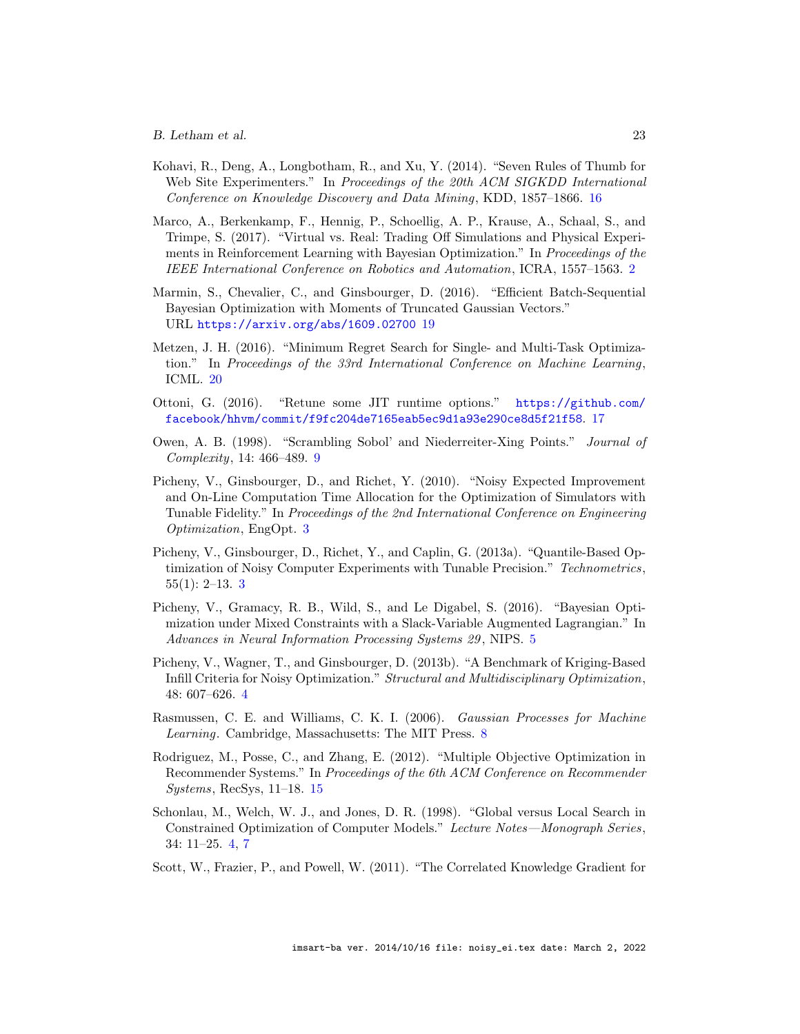- <span id="page-22-10"></span>Kohavi, R., Deng, A., Longbotham, R., and Xu, Y. (2014). "Seven Rules of Thumb for Web Site Experimenters." In Proceedings of the 20th ACM SIGKDD International Conference on Knowledge Discovery and Data Mining, KDD, 1857–1866. [16](#page-15-1)
- <span id="page-22-0"></span>Marco, A., Berkenkamp, F., Hennig, P., Schoellig, A. P., Krause, A., Schaal, S., and Trimpe, S. (2017). "Virtual vs. Real: Trading Off Simulations and Physical Experiments in Reinforcement Learning with Bayesian Optimization." In Proceedings of the IEEE International Conference on Robotics and Automation, ICRA, 1557–1563. [2](#page-1-0)
- <span id="page-22-12"></span>Marmin, S., Chevalier, C., and Ginsbourger, D. (2016). "Efficient Batch-Sequential Bayesian Optimization with Moments of Truncated Gaussian Vectors." URL <https://arxiv.org/abs/1609.02700> [19](#page-18-0)
- <span id="page-22-13"></span>Metzen, J. H. (2016). "Minimum Regret Search for Single- and Multi-Task Optimization." In Proceedings of the 33rd International Conference on Machine Learning, ICML. [20](#page-19-1)
- <span id="page-22-11"></span>Ottoni, G. (2016). "Retune some JIT runtime options." [https://github.com/](https://github.com/facebook/hhvm/commit/f9fc204de7165eab5ec9d1a93e290ce8d5f21f58) [facebook/hhvm/commit/f9fc204de7165eab5ec9d1a93e290ce8d5f21f58](https://github.com/facebook/hhvm/commit/f9fc204de7165eab5ec9d1a93e290ce8d5f21f58). [17](#page-16-0)
- <span id="page-22-8"></span>Owen, A. B. (1998). "Scrambling Sobol' and Niederreiter-Xing Points." Journal of Complexity, 14: 466–489. [9](#page-8-2)
- <span id="page-22-2"></span>Picheny, V., Ginsbourger, D., and Richet, Y. (2010). "Noisy Expected Improvement and On-Line Computation Time Allocation for the Optimization of Simulators with Tunable Fidelity." In Proceedings of the 2nd International Conference on Engineering Optimization, EngOpt. [3](#page-2-3)
- <span id="page-22-1"></span>Picheny, V., Ginsbourger, D., Richet, Y., and Caplin, G. (2013a). "Quantile-Based Optimization of Noisy Computer Experiments with Tunable Precision." Technometrics,  $55(1): 2-13.3$  $55(1): 2-13.3$  $55(1): 2-13.3$
- <span id="page-22-5"></span>Picheny, V., Gramacy, R. B., Wild, S., and Le Digabel, S. (2016). "Bayesian Optimization under Mixed Constraints with a Slack-Variable Augmented Lagrangian." In Advances in Neural Information Processing Systems 29 , NIPS. [5](#page-4-3)
- <span id="page-22-3"></span>Picheny, V., Wagner, T., and Ginsbourger, D. (2013b). "A Benchmark of Kriging-Based Infill Criteria for Noisy Optimization." Structural and Multidisciplinary Optimization, 48: 607–626. [4](#page-3-1)
- <span id="page-22-7"></span>Rasmussen, C. E. and Williams, C. K. I. (2006). Gaussian Processes for Machine Learning. Cambridge, Massachusetts: The MIT Press. [8](#page-7-2)
- <span id="page-22-9"></span>Rodriguez, M., Posse, C., and Zhang, E. (2012). "Multiple Objective Optimization in Recommender Systems." In Proceedings of the 6th ACM Conference on Recommender Systems, RecSys, 11–18. [15](#page-14-2)
- <span id="page-22-4"></span>Schonlau, M., Welch, W. J., and Jones, D. R. (1998). "Global versus Local Search in Constrained Optimization of Computer Models." Lecture Notes—Monograph Series, 34: 11–25. [4,](#page-3-1) [7](#page-6-2)
- <span id="page-22-6"></span>Scott, W., Frazier, P., and Powell, W. (2011). "The Correlated Knowledge Gradient for